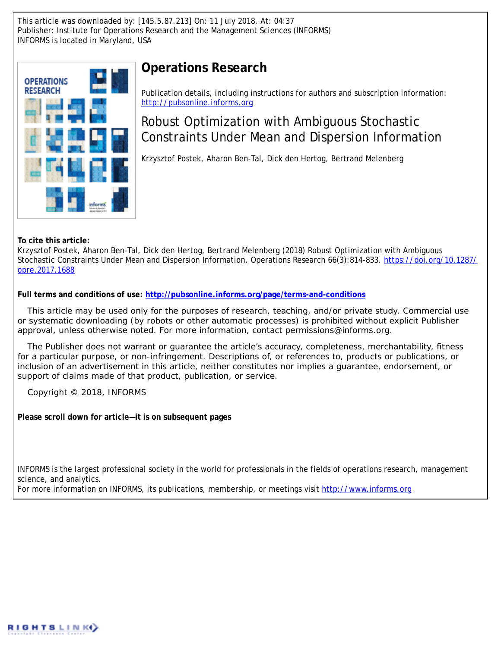This article was downloaded by: [145.5.87.213] On: 11 July 2018, At: 04:37 Publisher: Institute for Operations Research and the Management Sciences (INFORMS) INFORMS is located in Maryland, USA



# **Operations Research**

Publication details, including instructions for authors and subscription information: <http://pubsonline.informs.org>

# Robust Optimization with Ambiguous Stochastic Constraints Under Mean and Dispersion Information

Krzysztof Postek, Aharon Ben-Tal, Dick den Hertog, Bertrand Melenberg

**To cite this article:**

Krzysztof Postek, Aharon Ben-Tal, Dick den Hertog, Bertrand Melenberg (2018) Robust Optimization with Ambiguous Stochastic Constraints Under Mean and Dispersion Information. Operations Research 66(3):814-833. [https://doi.org/10.1287/](https://doi.org/10.1287/opre.2017.1688) [opre.2017.1688](https://doi.org/10.1287/opre.2017.1688)

**Full terms and conditions of use: <http://pubsonline.informs.org/page/terms-and-conditions>**

This article may be used only for the purposes of research, teaching, and/or private study. Commercial use or systematic downloading (by robots or other automatic processes) is prohibited without explicit Publisher approval, unless otherwise noted. For more information, contact permissions@informs.org.

The Publisher does not warrant or guarantee the article's accuracy, completeness, merchantability, fitness for a particular purpose, or non-infringement. Descriptions of, or references to, products or publications, or inclusion of an advertisement in this article, neither constitutes nor implies a guarantee, endorsement, or support of claims made of that product, publication, or service.

Copyright © 2018, INFORMS

**Please scroll down for article—it is on subsequent pages**

INFORMS is the largest professional society in the world for professionals in the fields of operations research, management science, and analytics.

For more information on INFORMS, its publications, membership, or meetings visit <http://www.informs.org>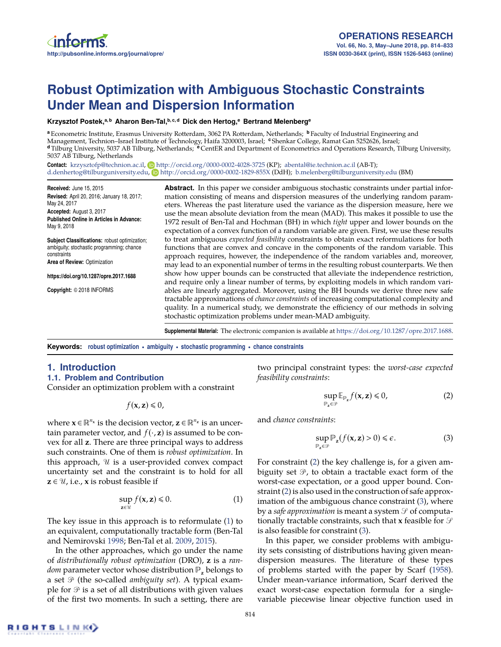# **Robust Optimization with Ambiguous Stochastic Constraints Under Mean and Dispersion Information**

**Krzysztof Postek,a, b Aharon Ben-Tal,b, c, d Dick den Hertog,<sup>e</sup> Bertrand Melenberg<sup>e</sup>**

**<sup>a</sup>** Econometric Institute, Erasmus University Rotterdam, 3062 PA Rotterdam, Netherlands; **<sup>b</sup>** Faculty of Industrial Engineering and Management, Technion–Israel Institute of Technology, Haifa 3200003, Israel; **<sup>c</sup>** Shenkar College, Ramat Gan 5252626, Israel; **<sup>d</sup>** Tilburg University, 5037 AB Tilburg, Netherlands; **<sup>e</sup>** CentER and Department of Econometrics and Operations Research, Tilburg University, 5037 AB Tilburg, Netherlands

Contact: [krzysztofp@technion.ac.il,](mailto:krzysztofp@technion.ac.il) **b**ttp://orcid.org/0000-0002-4028-3725 (KP); [abental@ie.technion.ac.il](mailto:abental@ie.technion.ac.il) (AB-T); [d.denhertog@tilburguniversity.edu,](mailto:d.denhertog@tilburguniversity.edu) <http://orcid.org/0000-0002-1829-855X> (DdH); [b.melenberg@tilburguniversity.edu](mailto:b.melenberg@tilburguniversity.edu) (BM)

**Received:** June 15, 2015 **Revised:** April 20, 2016; January 18, 2017; May 24, 2017 **Accepted:** August 3, 2017

**Published Online in Articles in Advance:** May 9, 2018

**Subject Classifications:** robust optimization; ambiguity; stochastic programming; chance constraints

**Area of Review:** Optimization

**https://doi.org/10.1287/opre.2017.1688**

**Copyright:** © 2018 INFORMS

**Abstract.** In this paper we consider ambiguous stochastic constraints under partial information consisting of means and dispersion measures of the underlying random parameters. Whereas the past literature used the variance as the dispersion measure, here we use the mean absolute deviation from the mean (MAD). This makes it possible to use the 1972 result of Ben-Tal and Hochman (BH) in which *tight* upper and lower bounds on the expectation of a convex function of a random variable are given. First, we use these results to treat ambiguous *expected feasibility* constraints to obtain exact reformulations for both functions that are convex and concave in the components of the random variable. This approach requires, however, the independence of the random variables and, moreover, may lead to an exponential number of terms in the resulting robust counterparts. We then show how upper bounds can be constructed that alleviate the independence restriction, and require only a linear number of terms, by exploiting models in which random variables are linearly aggregated. Moreover, using the BH bounds we derive three new safe tractable approximations of *chance constraints* of increasing computational complexity and quality. In a numerical study, we demonstrate the efficiency of our methods in solving stochastic optimization problems under mean-MAD ambiguity.

**Supplemental Material:** The electronic companion is available at [https://doi.org/10.1287/opre.2017.1688.](https://doi.org/10.1287/opre.2017.1688)

**Keywords: robust optimization • ambiguity • stochastic programming • chance constraints**

# **1. Introduction**

#### **1.1. Problem and Contribution**

Consider an optimization problem with a constraint

 $f(\mathbf{x}, \mathbf{z}) \leq 0$ ,

where  $\mathbf{x} \in \mathbb{R}^{n_x}$  is the decision vector,  $\mathbf{z} \in \mathbb{R}^{n_{\mathbf{z}}}$  is an uncertain parameter vector, and  $f(\cdot, z)$  is assumed to be convex for all **z**. There are three principal ways to address such constraints. One of them is *robust optimization*. In this approach,  $U$  is a user-provided convex compact uncertainty set and the constraint is to hold for all  $z \in \mathcal{U}$ , i.e., **x** is robust feasible if

<span id="page-1-0"></span>
$$
\sup_{\mathbf{z}\in\mathcal{U}}f(\mathbf{x},\mathbf{z})\leq 0.\tag{1}
$$

The key issue in this approach is to reformulate [\(1\)](#page-1-0) to an equivalent, computationally tractable form (Ben-Tal and Nemirovski [1998;](#page-19-0) Ben-Tal et al. [2009,](#page-19-1) [2015\)](#page-19-2).

In the other approaches, which go under the name of *distributionally robust optimization* (DRO), **z** is a *random* parameter vector whose distribution  $\mathbb{P}_{z}$  belongs to a set  $\mathcal{P}$  (the so-called *ambiguity set*). A typical example for  $\mathcal P$  is a set of all distributions with given values of the first two moments. In such a setting, there are

two principal constraint types: the *worst-case expected feasibility constraints*:

<span id="page-1-1"></span>
$$
\sup_{\mathbb{P}_z \in \mathcal{P}} \mathbb{E}_{\mathbb{P}_z} f(\mathbf{x}, \mathbf{z}) \leq 0,\tag{2}
$$

and *chance constraints*:

<span id="page-1-2"></span>
$$
\sup_{\mathbb{P}_{\mathbf{z}} \in \mathcal{P}} \mathbb{P}_{\mathbf{z}}(f(\mathbf{x}, \mathbf{z}) > 0) \le \epsilon.
$$
 (3)

For constraint [\(2\)](#page-1-1) the key challenge is, for a given ambiguity set  $\mathcal{P}$ , to obtain a tractable exact form of the worst-case expectation, or a good upper bound. Constraint [\(2\)](#page-1-1) is also used in the construction of safe approximation of the ambiguous chance constraint [\(3\)](#page-1-2), where by a *safe approximation* is meant a system  $\mathcal P$  of computationally tractable constraints, such that **x** feasible for  $\mathcal{S}$ is also feasible for constraint [\(3\)](#page-1-2).

In this paper, we consider problems with ambiguity sets consisting of distributions having given meandispersion measures. The literature of these types of problems started with the paper by Scarf [\(1958\)](#page-20-0). Under mean-variance information, Scarf derived the exact worst-case expectation formula for a singlevariable piecewise linear objective function used in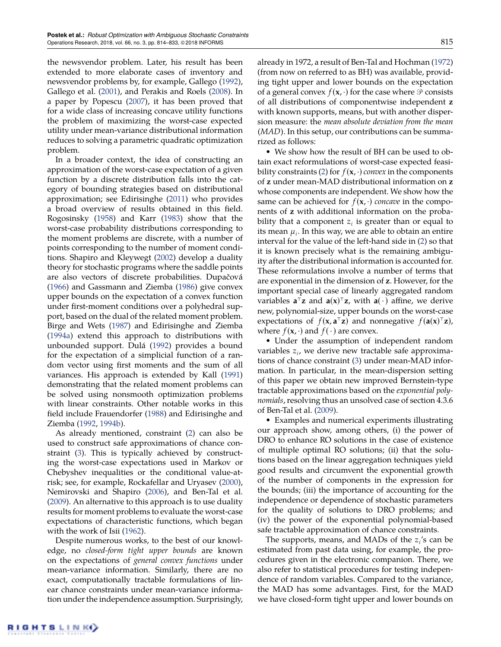the newsvendor problem. Later, his result has been extended to more elaborate cases of inventory and newsvendor problems by, for example, Gallego [\(1992\)](#page-20-1), Gallego et al. [\(2001\)](#page-20-2), and Perakis and Roels [\(2008\)](#page-20-3). In a paper by Popescu [\(2007\)](#page-20-4), it has been proved that for a wide class of increasing concave utility functions the problem of maximizing the worst-case expected utility under mean-variance distributional information reduces to solving a parametric quadratic optimization problem.

In a broader context, the idea of constructing an approximation of the worst-case expectation of a given function by a discrete distribution falls into the category of bounding strategies based on distributional approximation; see Edirisinghe [\(2011\)](#page-20-5) who provides a broad overview of results obtained in this field. Rogosinsky [\(1958\)](#page-20-6) and Karr [\(1983\)](#page-20-7) show that the worst-case probability distributions corresponding to the moment problems are discrete, with a number of points corresponding to the number of moment conditions. Shapiro and Kleywegt [\(2002\)](#page-20-8) develop a duality theory for stochastic programs where the saddle points are also vectors of discrete probabilities. Dupačová [\(1966\)](#page-20-9) and Gassmann and Ziemba [\(1986\)](#page-20-10) give convex upper bounds on the expectation of a convex function under first-moment conditions over a polyhedral support, based on the dual of the related moment problem. Birge and Wets [\(1987\)](#page-19-3) and Edirisinghe and Ziemba [\(1994a\)](#page-20-11) extend this approach to distributions with unbounded support. Dulá [\(1992\)](#page-19-4) provides a bound for the expectation of a simplicial function of a random vector using first moments and the sum of all variances. His approach is extended by Kall [\(1991\)](#page-20-12) demonstrating that the related moment problems can be solved using nonsmooth optimization problems with linear constraints. Other notable works in this field include Frauendorfer [\(1988\)](#page-20-13) and Edirisinghe and Ziemba [\(1992,](#page-20-14) [1994b\)](#page-20-15).

As already mentioned, constraint [\(2\)](#page-1-1) can also be used to construct safe approximations of chance constraint [\(3\)](#page-1-2). This is typically achieved by constructing the worst-case expectations used in Markov or Chebyshev inequalities or the conditional value-atrisk; see, for example, Rockafellar and Uryasev [\(2000\)](#page-20-16), Nemirovski and Shapiro [\(2006\)](#page-20-17), and Ben-Tal et al. [\(2009\)](#page-19-1). An alternative to this approach is to use duality results for moment problems to evaluate the worst-case expectations of characteristic functions, which began with the work of Isii [\(1962\)](#page-20-18).

Despite numerous works, to the best of our knowledge, no *closed-form tight upper bounds* are known on the expectations of *general convex functions* under mean-variance information. Similarly, there are no exact, computationally tractable formulations of linear chance constraints under mean-variance information under the independence assumption. Surprisingly, already in 1972, a result of Ben-Tal and Hochman [\(1972\)](#page-19-5) (from now on referred to as BH) was available, providing tight upper and lower bounds on the expectation of a general convex  $f(\mathbf{x}, \cdot)$  for the case where  $\mathcal P$  consists of all distributions of componentwise independent **z** with known supports, means, but with another dispersion measure: the *mean absolute deviation from the mean (MAD)*. In this setup, our contributions can be summarized as follows:

• We show how the result of BH can be used to obtain exact reformulations of worst-case expected feasi-bility constraints [\(2\)](#page-1-1) for  $f(\mathbf{x}, \cdot)$  *convex* in the components of **z** under mean-MAD distributional information on **z** whose components are independent. We show how the same can be achieved for  $f(\mathbf{x}, \cdot)$  *concave* in the components of **z** with additional information on the probability that a component  $z_i$  is greater than or equal to its mean  $\mu_i.$  In this way, we are able to obtain an entire interval for the value of the left-hand side in [\(2\)](#page-1-1) so that it is known precisely what is the remaining ambiguity after the distributional information is accounted for. These reformulations involve a number of terms that are exponential in the dimension of **z**. However, for the important special case of linearly aggregated random variables  $\mathbf{a}^{\dagger} \mathbf{z}$  and  $\mathbf{a}(\mathbf{x})^{\dagger} \mathbf{z}$ , with  $\mathbf{a}(\cdot)$  affine, we derive new, polynomial-size, upper bounds on the worst-case expectations of  $f(\mathbf{x}, \mathbf{a}^\top \mathbf{z})$  and nonnegative  $f(\mathbf{a}(\mathbf{x})^\top \mathbf{z})$ , where  $f(\mathbf{x}, \cdot)$  and  $f(\cdot)$  are convex.

• Under the assumption of independent random variables *z<sup>i</sup>* , we derive new tractable safe approximations of chance constraint [\(3\)](#page-1-2) under mean-MAD information. In particular, in the mean-dispersion setting of this paper we obtain new improved Bernstein-type tractable approximations based on the *exponential polynomials*, resolving thus an unsolved case of section 4.3.6 of Ben-Tal et al. [\(2009\)](#page-19-1).

• Examples and numerical experiments illustrating our approach show, among others, (i) the power of DRO to enhance RO solutions in the case of existence of multiple optimal RO solutions; (ii) that the solutions based on the linear aggregation techniques yield good results and circumvent the exponential growth of the number of components in the expression for the bounds; (iii) the importance of accounting for the independence or dependence of stochastic parameters for the quality of solutions to DRO problems; and (iv) the power of the exponential polynomial-based safe tractable approximation of chance constraints.

The supports, means, and MADs of the *z<sup>i</sup>* 's can be estimated from past data using, for example, the procedures given in the electronic companion. There, we also refer to statistical procedures for testing independence of random variables. Compared to the variance, the MAD has some advantages. First, for the MAD we have closed-form tight upper and lower bounds on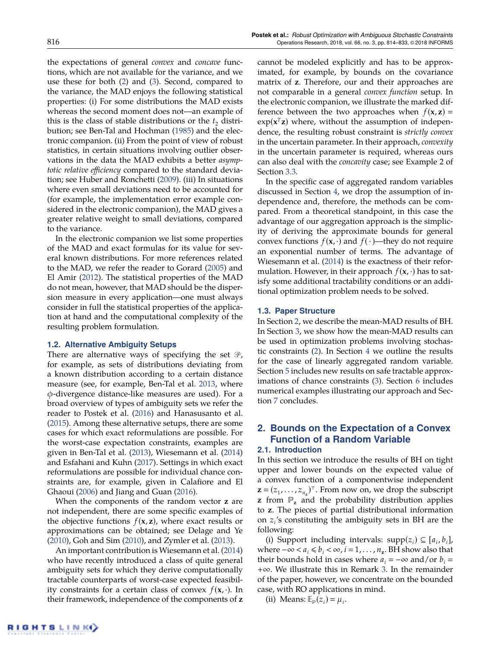the expectations of general *convex* and *concave* functions, which are not available for the variance, and we use these for both [\(2\)](#page-1-1) and [\(3\)](#page-1-2). Second, compared to the variance, the MAD enjoys the following statistical properties: (i) For some distributions the MAD exists whereas the second moment does not—an example of this is the class of stable distributions or the  $t_2$  distribution; see Ben-Tal and Hochman [\(1985\)](#page-19-6) and the electronic companion. (ii) From the point of view of robust statistics, in certain situations involving outlier observations in the data the MAD exhibits a better *asymptotic relative efficiency* compared to the standard deviation; see Huber and Ronchetti [\(2009\)](#page-20-19). (iii) In situations where even small deviations need to be accounted for (for example, the implementation error example considered in the electronic companion), the MAD gives a greater relative weight to small deviations, compared to the variance.

In the electronic companion we list some properties of the MAD and exact formulas for its value for several known distributions. For more references related to the MAD, we refer the reader to Gorard [\(2005\)](#page-20-20) and El Amir [\(2012\)](#page-20-21). The statistical properties of the MAD do not mean, however, that MAD should be the dispersion measure in every application—one must always consider in full the statistical properties of the application at hand and the computational complexity of the resulting problem formulation.

#### **1.2. Alternative Ambiguity Setups**

There are alternative ways of specifying the set  $\mathcal{P}$ , for example, as sets of distributions deviating from a known distribution according to a certain distance measure (see, for example, Ben-Tal et al. [2013,](#page-19-7) where φ-divergence distance-like measures are used). For a broad overview of types of ambiguity sets we refer the reader to Postek et al. [\(2016\)](#page-20-22) and Hanasusanto et al. [\(2015\)](#page-20-23). Among these alternative setups, there are some cases for which exact reformulations are possible. For the worst-case expectation constraints, examples are given in Ben-Tal et al. [\(2013\)](#page-19-7), Wiesemann et al. [\(2014\)](#page-20-24) and Esfahani and Kuhn [\(2017\)](#page-20-25). Settings in which exact reformulations are possible for individual chance constraints are, for example, given in Calafiore and El Ghaoui [\(2006\)](#page-19-8) and Jiang and Guan [\(2016\)](#page-20-26).

When the components of the random vector **z** are not independent, there are some specific examples of the objective functions  $f(x, z)$ , where exact results or approximations can be obtained; see Delage and Ye [\(2010\)](#page-19-9), Goh and Sim [\(2010\)](#page-20-27), and Zymler et al. [\(2013\)](#page-20-28).

An important contribution is Wiesemann et al. [\(2014\)](#page-20-24) who have recently introduced a class of quite general ambiguity sets for which they derive computationally tractable counterparts of worst-case expected feasibility constraints for a certain class of convex  $f(\mathbf{x}, \cdot)$ . In their framework, independence of the components of **z** cannot be modeled explicitly and has to be approximated, for example, by bounds on the covariance matrix of **z**. Therefore, our and their approaches are not comparable in a general *convex function* setup. In the electronic companion, we illustrate the marked difference between the two approaches when  $f(\mathbf{x}, \mathbf{z}) =$  $exp(x^T z)$  where, without the assumption of independence, the resulting robust constraint is *strictly convex* in the uncertain parameter. In their approach, *convexity* in the uncertain parameter is required, whereas ours can also deal with the *concavity* case; see Example 2 of Section [3.3.](#page-6-0)

In the specific case of aggregated random variables discussed in Section [4,](#page-8-0) we drop the assumption of independence and, therefore, the methods can be compared. From a theoretical standpoint, in this case the advantage of our aggregation approach is the simplicity of deriving the approximate bounds for general convex functions  $f(\mathbf{x}, \cdot)$  and  $f(\cdot)$ —they do not require an exponential number of terms. The advantage of Wiesemann et al. [\(2014\)](#page-20-24) is the exactness of their reformulation. However, in their approach  $f(\mathbf{x}, \cdot)$  has to satisfy some additional tractability conditions or an additional optimization problem needs to be solved.

#### **1.3. Paper Structure**

In Section [2,](#page-3-0) we describe the mean-MAD results of BH. In Section [3,](#page-5-0) we show how the mean-MAD results can be used in optimization problems involving stochastic constraints [\(2\)](#page-1-1). In Section [4](#page-8-0) we outline the results for the case of linearly aggregated random variable. Section [5](#page-11-0) includes new results on safe tractable approximations of chance constraints [\(3\)](#page-1-2). Section [6](#page-13-0) includes numerical examples illustrating our approach and Section [7](#page-19-10) concludes.

# <span id="page-3-0"></span>**2. Bounds on the Expectation of a Convex Function of a Random Variable**

#### **2.1. Introduction**

In this section we introduce the results of BH on tight upper and lower bounds on the expected value of a convex function of a componentwise independent  $\mathbf{z} = (z_1, \dots, z_{n_\mathbf{z}})^\top$ . From now on, we drop the subscript **z** from  $P_z$  and the probability distribution applies to **z**. The pieces of partial distributional information on *z<sup>i</sup>* 's constituting the ambiguity sets in BH are the following:

(i) Support including intervals:  $supp(z_i) \subseteq [a_i, b_i]$ , where  $-\infty < a_i \le b_i < \infty$ ,  $i = 1, ..., n_z$ . BH show also that their bounds hold in cases where  $a_i = -\infty$  and/or  $b_i =$ +∞. We illustrate this in Remark [3.](#page-4-0) In the remainder of the paper, however, we concentrate on the bounded case, with RO applications in mind.

(ii) Means:  $\mathbb{E}_{\mathbb{P}}(z_i) = \mu_i$ .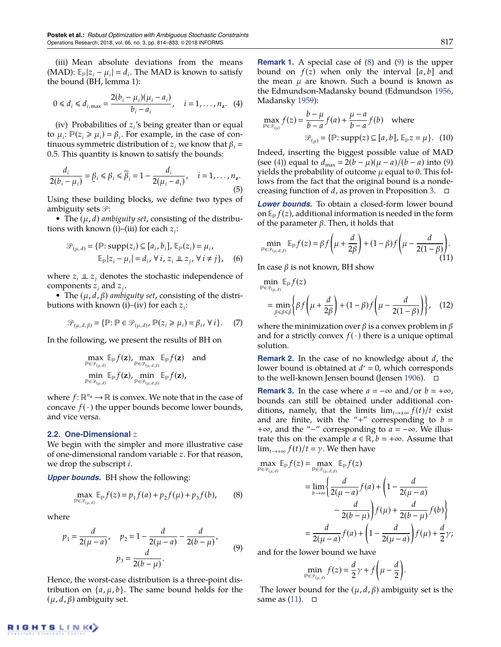(iii) Mean absolute deviations from the means (MAD):  $\mathbb{E}_{p}|z_i - \mu_i| = d_i$ . The MAD is known to satisfy the bound (BH, lemma 1):

<span id="page-4-3"></span>
$$
0 \le d_i \le d_{i, \max} = \frac{2(b_i - \mu_i)(\mu_i - a_i)}{b_i - a_i}, \quad i = 1, ..., n_z.
$$
 (4)

(iv) Probabilities of *z<sup>i</sup>* 's being greater than or equal to  $\mu_i$ :  $\mathbb{P}(z_i \ge \mu_i) = \beta_i$ . For example, in the case of continuous symmetric distribution of  $z_i$  we know that  $\beta_i =$ 0.5. This quantity is known to satisfy the bounds:

$$
\frac{d_i}{2(b_i - \mu_i)} = \underline{\beta}_i \leq \beta_i \leq \overline{\beta}_i = 1 - \frac{d_i}{2(\mu_i - a_i)}, \quad i = 1, \dots, n_z.
$$
\n(5)

Using these building blocks, we define two types of ambiguity sets  $\mathcal{P}$ :

• The (µ, *d*) *ambiguity set*, consisting of the distributions with known (i)–(iii) for each *z<sup>i</sup>* :

$$
\mathcal{P}_{(\mu,d)} = \{ \mathbb{P}: \text{supp}(z_i) \subseteq [a_i, b_i], \mathbb{E}_{\mathbb{P}}(z_i) = \mu_i, \mathbb{E}_{\mathbb{P}} |z_i - \mu_i| = d_i, \forall i, z_i \perp z_j, \forall i \neq j \},
$$
(6)

where  $z_i \perp z_j$  denotes the stochastic independence of components  $z_i$  and  $z_j$ .

• The (µ, *d*, β) *ambiguity set*, consisting of the distributions with known (i)–(iv) for each *z<sup>i</sup>* :

$$
\mathcal{P}_{(\mu,d,\beta)} = \{ \mathbb{P} : \mathbb{P} \in \mathcal{P}_{(\mu,d)}, \mathbb{P}(z_i \ge \mu_i) = \beta_i, \forall i \}.
$$
 (7)

In the following, we present the results of BH on

$$
\max_{\mathbb{P}\in\mathcal{P}_{(\mu,d)}}\mathbb{E}_{\mathbb{P}}f(\mathbf{z}), \max_{\mathbb{P}\in\mathcal{P}_{(\mu,d,\beta)}}\mathbb{E}_{\mathbb{P}}f(\mathbf{z}) \quad \text{and} \\ \min_{\mathbb{P}\in\mathcal{P}_{(\mu,d)}}\mathbb{E}_{\mathbb{P}}f(\mathbf{z}), \min_{\mathbb{P}\in\mathcal{P}_{(\mu,d,\beta)}}\mathbb{E}_{\mathbb{P}}f(\mathbf{z}),
$$

where  $f: \mathbb{R}^{n_z} \to \mathbb{R}$  is convex. We note that in the case of concave  $f(\cdot)$  the upper bounds become lower bounds, and vice versa.

#### **2.2. One-Dimensional** *z*

We begin with the simpler and more illustrative case of one-dimensional random variable *z*. For that reason, we drop the subscript *i*.

*Upper bounds.* BH show the following:

<span id="page-4-1"></span>
$$
\max_{\mathbb{P}\in\mathcal{P}_{(\mu,d)}} \mathbb{E}_{\mathbb{P}} f(z) = p_1 f(a) + p_2 f(\mu) + p_3 f(b), \tag{8}
$$

where

<span id="page-4-2"></span>
$$
p_1 = \frac{d}{2(\mu - a)}, \quad p_2 = 1 - \frac{d}{2(\mu - a)} - \frac{d}{2(b - \mu)},
$$

$$
p_3 = \frac{d}{2(b - \mu)}.
$$
(9)

<span id="page-4-5"></span>Hence, the worst-case distribution is a three-point distribution on  $\{a, \mu, b\}$ . The same bound holds for the (µ, *d*, β) ambiguity set.

**Remark 1.** A special case of [\(8\)](#page-4-1) and [\(9\)](#page-4-2) is the upper bound on  $f(z)$  when only the interval  $[a, b]$  and the mean  $\mu$  are known. Such a bound is known as the Edmundson-Madansky bound (Edmundson [1956,](#page-20-29) Madansky [1959\)](#page-20-30):

$$
\max_{\mathbb{P}\in\mathcal{P}_{(\mu)}} f(z) = \frac{b-\mu}{b-a} f(a) + \frac{\mu-a}{b-a} f(b) \quad \text{where}
$$

$$
\mathcal{P}_{(\mu)} = \{\mathbb{P}: \text{supp}(z) \subseteq [a, b], \mathbb{E}_{\mathbb{P}} z = \mu\}. \quad (10)
$$

Indeed, inserting the biggest possible value of MAD (see [\(4\)](#page-4-3)) equal to  $d_{\text{max}} = 2(b - \mu)(\mu - a)/(b - a)$  into [\(9\)](#page-4-2) yields the probability of outcome  $\mu$  equal to 0. This follows from the fact that the original bound is a nondecreasing function of *d*, as proven in Proposition [3.](#page-8-1)  $\Box$ 

*Lower bounds.* To obtain a closed-form lower bound on  $\mathbb{E}_{\mathbb{P}} f(z)$ , additional information is needed in the form of the parameter  $β$ . Then, it holds that

<span id="page-4-4"></span>
$$
\min_{\mathbb{P}\in\mathcal{P}_{(\mu,d,\beta)}} \mathbb{E}_{\mathbb{P}} f(z) = \beta f\left(\mu + \frac{d}{2\beta}\right) + (1-\beta)f\left(\mu - \frac{d}{2(1-\beta)}\right). \tag{11}
$$

In case  $β$  is not known, BH show

$$
\min_{\mathbb{P}\in\mathcal{P}_{(\mu,d)}} \mathbb{E}_{\mathbb{P}} f(z)
$$
\n
$$
= \min_{\substack{\beta \leq \beta \leq \beta}} \left\{ \beta f \left( \mu + \frac{d}{2\beta} \right) + (1 - \beta) f \left( \mu - \frac{d}{2(1 - \beta)} \right) \right\}, \quad (12)
$$

where the minimization over  $β$  is a convex problem in  $β$ and for a strictly convex  $f(\cdot)$  there is a unique optimal solution.

**Remark 2.** In the case of no knowledge about *d*, the lower bound is obtained at  $d^* = 0$ , which corresponds to the well-known Jensen bound (Jensen [1906\)](#page-20-31).

<span id="page-4-0"></span>**Remark 3.** In the case where  $a = -\infty$  and/or  $b = +\infty$ , bounds can still be obtained under additional conditions, namely, that the limits  $\lim_{t\to\pm\infty} f(t)/t$  exist and are finite, with the "+" corresponding to  $b =$ +∞, and the "−" corresponding to *a* =  $-\infty$ . We illustrate this on the example  $a \in \mathbb{R}$ ,  $b = +\infty$ . Assume that  $\lim_{t\to+\infty} f(t)/t = \gamma$ . We then have

$$
\max_{\mathbb{P} \in \mathcal{P}_{(\mu,d)}} \mathbb{E}_{\mathbb{P}} f(z) = \max_{\mathbb{P} \in \mathcal{P}_{(\mu,d,\beta)}} \mathbb{E}_{\mathbb{P}} f(z)
$$
  
= 
$$
\lim_{b \to \infty} \left\{ \frac{d}{2(\mu - a)} f(a) + \left( 1 - \frac{d}{2(\mu - a)} - \frac{d}{2(b - \mu)} \right) f(\mu) + \frac{d}{2(b - \mu)} f(b) \right\}
$$
  
= 
$$
\frac{d}{2(\mu - a)} f(a) + \left( 1 - \frac{d}{2(\mu - a)} \right) f(\mu) + \frac{d}{2} \gamma;
$$

and for the lower bound we have

$$
\min_{\mathbb{P}\in\mathcal{P}_{(\mu,d)}}f(z)=\frac{d}{2}\gamma+f\bigg(\mu-\frac{d}{2}\bigg).
$$

The lower bound for the  $(\mu, d, \beta)$  ambiguity set is the same as  $(11)$ .  $\Box$ 

# **IGHTSLINKO**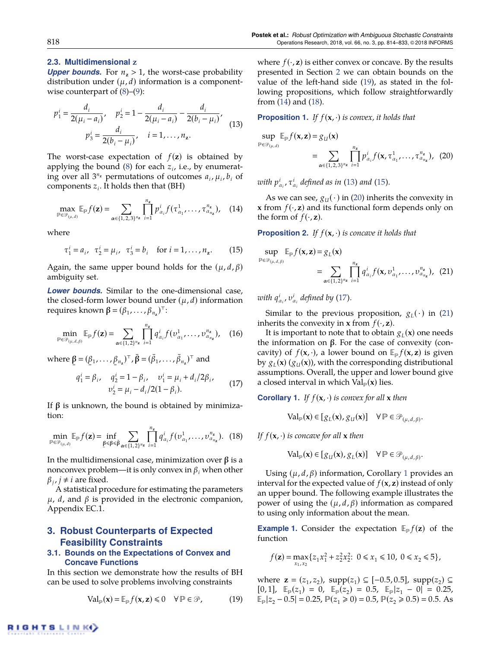#### **2.3. Multidimensional z**

*Upper bounds.* For  $n<sub>z</sub> > 1$ , the worst-case probability distribution under  $(\mu, d)$  information is a componentwise counterpart of  $(8)$ – $(9)$ :

<span id="page-5-4"></span>
$$
p_1^i = \frac{d_i}{2(\mu_i - a_i)}, \quad p_2^i = 1 - \frac{d_i}{2(\mu_i - a_i)} - \frac{d_i}{2(b_i - \mu_i)},
$$

$$
p_3^i = \frac{d_i}{2(b_i - \mu_i)}, \quad i = 1, ..., n_z.
$$
 (13)

The worst-case expectation of  $f(z)$  is obtained by applying the bound [\(8\)](#page-4-1) for each *z<sup>i</sup>* , i.e., by enumerating over all  $3^{n_z}$  permutations of outcomes  $a_i$ ,  $\mu_i$ ,  $b_i$  of components  $z_i$ . It holds then that (BH)

<span id="page-5-2"></span>
$$
\max_{\mathbb{P}\in\mathcal{P}_{(\mu,d)}} \mathbb{E}_{\mathbb{P}}f(\mathbf{z}) = \sum_{\alpha\in\{1,2,3\}^{n_{\mathbf{z}}}} \prod_{i=1}^{n_{\mathbf{z}}} p_{\alpha_i}^i f(\tau_{\alpha_1}^1, \ldots, \tau_{\alpha_{n_{\mathbf{z}}}}^{n_{\mathbf{z}}}), \quad (14)
$$

where

<span id="page-5-5"></span>
$$
\tau_1^i = a_i, \quad \tau_2^i = \mu_i, \quad \tau_3^i = b_i \quad \text{for } i = 1, \dots, n_z.
$$
 (15)

Again, the same upper bound holds for the  $(\mu, d, \beta)$ ambiguity set.

*Lower bounds.* Similar to the one-dimensional case, the closed-form lower bound under  $(\mu, d)$  information requires known  $\beta = (\beta_1, ..., \beta_{n_z})^\top$ :

$$
\min_{\mathbb{P}\in\mathcal{P}_{(\mu,d,\beta)}} \mathbb{E}_{\mathbb{P}}f(\mathbf{z}) = \sum_{\alpha\in\{1,2\}^{n_{\mathbf{z}}}} \prod_{i=1}^{n_{\mathbf{z}}} q_{\alpha_{i}}^{i} f(v_{\alpha_{1}}^{1},\ldots,v_{\alpha_{n_{\mathbf{z}}}}^{n_{\mathbf{z}}}), \quad (16)
$$

where  $\underline{\beta} = (\underline{\beta}_1, \dots, \underline{\beta}_{n_z})^\top$ ,  $\overline{\beta} = (\overline{\beta}_1, \dots, \overline{\beta}_{n_z})^\top$  and ¯  $^{\overline{}}$ ¯

<span id="page-5-7"></span>
$$
q_1^i = \beta_i, \quad q_2^i = 1 - \beta_i, \quad v_1^i = \mu_i + d_i/2\beta_i, \n v_2^i = \mu_i - d_i/2(1 - \beta_i).
$$
\n(17)

If  $β$  is unknown, the bound is obtained by minimization:

<span id="page-5-3"></span>
$$
\min_{\mathbb{P}\in\mathcal{P}_{(\mu,d)}} \mathbb{E}_{\mathbb{P}} f(\mathbf{z}) = \inf_{\substack{\beta \leq \beta \leq \bar{\beta} \\ \alpha \in \{1,2\}^{n_{\mathbf{z}}}}} \sum_{i=1}^{n_{\mathbf{z}}} q_{\alpha_i}^i f(v_{\alpha_1}^1, \dots, v_{\alpha_{n_{\mathbf{z}}}}^n). (18)
$$

In the multidimensional case, minimization over  $β$  is a nonconvex problem—it is only convex in  $\beta_i$  when other  $\beta_j$ ,  $j \neq i$  are fixed.

A statistical procedure for estimating the parameters  $\mu$ , *d*, and *β* is provided in the electronic companion, Appendix EC.1.

## <span id="page-5-0"></span>**3. Robust Counterparts of Expected Feasibility Constraints**

## <span id="page-5-10"></span>**3.1. Bounds on the Expectations of Convex and Concave Functions**

In this section we demonstrate how the results of BH can be used to solve problems involving constraints

<span id="page-5-1"></span>
$$
\text{Val}_{\mathbb{P}}(\mathbf{x}) = \mathbb{E}_{\mathbb{P}} f(\mathbf{x}, \mathbf{z}) \leq 0 \quad \forall \mathbb{P} \in \mathcal{P}, \tag{19}
$$

where  $f(\cdot, z)$  is either convex or concave. By the results presented in Section [2](#page-3-0) we can obtain bounds on the value of the left-hand side [\(19\)](#page-5-1), as stated in the following propositions, which follow straightforwardly from [\(14\)](#page-5-2) and [\(18\)](#page-5-3).

**Proposition 1.** *If*  $f(\mathbf{x}, \cdot)$  *is convex, it holds that* 

<span id="page-5-6"></span>
$$
\sup_{\mathbb{P}\in\mathcal{P}_{(\mu,d)}} \mathbb{E}_{\mathbb{P}}f(\mathbf{x},\mathbf{z}) = g_{U}(\mathbf{x})
$$
\n
$$
= \sum_{\alpha\in\{1,2,3\}^{n_{\mathbf{z}}}} \prod_{i=1}^{n_{\mathbf{z}}} p_{\alpha_{i}}^{i} f(\mathbf{x}, \tau^{1}_{\alpha_{1}}, \dots, \tau^{n_{\mathbf{z}}}_{\alpha_{n_{\mathbf{z}}}}), \tag{20}
$$

*with*  $p^i_{\alpha_i}$ ,  $\tau^i_{\alpha_i}$  defined as in [\(13\)](#page-5-4) and [\(15\)](#page-5-5).

As we can see,  $g_U(\cdot)$  in [\(20\)](#page-5-6) inherits the convexity in **x** from  $f(\cdot, z)$  and its functional form depends only on the form of  $f(\cdot, z)$ .

**Proposition 2.** *If*  $f(\mathbf{x}, \cdot)$  *is concave it holds that* 

<span id="page-5-8"></span>
$$
\sup_{\mathbb{P}\in\mathcal{P}_{(\mu,d,\beta)}} \mathbb{E}_{\mathbb{P}}f(\mathbf{x},\mathbf{z}) = g_L(\mathbf{x})
$$
  
= 
$$
\sum_{\alpha\in\{1,2\}^{n_{\mathbf{z}}}} \prod_{i=1}^{n_{\mathbf{z}}} q_{\alpha_i}^i f(\mathbf{x},\upsilon_{\alpha_1}^1,\ldots,\upsilon_{\alpha_{n_{\mathbf{z}}}}^{n_{\mathbf{z}}}), (21)
$$

*with*  $q^i_{\alpha_i}$ ,  $v^i_{\alpha_i}$  defined by [\(17\)](#page-5-7).

Similar to the previous proposition,  $g_L(\cdot)$  in [\(21\)](#page-5-8) inherits the convexity in **x** from  $f(\cdot, \mathbf{z})$ .

It is important to note that to obtain  $g_L(\mathbf{x})$  one needs the information on  $β$ . For the case of convexity (concavity) of  $f(\mathbf{x}, \cdot)$ , a lower bound on  $\mathbb{E}_{p} f(\mathbf{x}, \mathbf{z})$  is given by  $g_L(\mathbf{x})$   $(g_U(\mathbf{x}))$ , with the corresponding distributional assumptions. Overall, the upper and lower bound give a closed interval in which Val (**x**) lies.

<span id="page-5-9"></span>**Corollary 1.** *If*  $f(\mathbf{x}, \cdot)$  *is convex for all*  $\mathbf{x}$  *then* 

$$
\text{Val}_{\mathbb{P}}(\mathbf{x}) \in [g_L(\mathbf{x}), g_U(\mathbf{x})] \quad \forall \mathbb{P} \in \mathcal{P}_{(\mu, d, \beta)}.
$$

*If*  $f(\mathbf{x}, \cdot)$  *is concave for all*  $\mathbf{x}$  *then* 

$$
\text{Val}_{\mathbb{P}}(\mathbf{x}) \in [g_U(\mathbf{x}), g_L(\mathbf{x})] \quad \forall \mathbb{P} \in \mathcal{P}_{(\mu, d, \beta)}.
$$

Using  $(\mu, d, \beta)$  information, Corollary [1](#page-5-9) provides an interval for the expected value of  $f(\mathbf{x}, \mathbf{z})$  instead of only an upper bound. The following example illustrates the power of using the  $(μ, d, β)$  information as compared to using only information about the mean.

**Example 1.** Consider the expectation  $\mathbb{E}_{p} f(z)$  of the function

$$
f(\mathbf{z}) = \max_{x_1, x_2} \{ z_1 x_1^2 + z_2^2 x_2^2 : 0 \le x_1 \le 10, 0 \le x_2 \le 5 \},\
$$

where **z** = ( $z_1$ , $z_2$ ), supp( $z_1$ ) ⊆ [-0.5,0.5], supp( $z_2$ ) ⊆  $[0, 1]$ ,  $\mathbb{E}_{\mathbb{P}}(z_1) = 0$ ,  $\mathbb{E}_{\mathbb{P}}(z_2) = 0.5$ ,  $\mathbb{E}_{\mathbb{P}}|z_1 - 0| = 0.25$ ,  $\mathbb{E}_{p}|z_2 - 0.5| = 0.25, \mathbb{P}(z_1 \ge 0) = 0.5, \mathbb{P}(z_2 \ge 0.5) = 0.5.$  As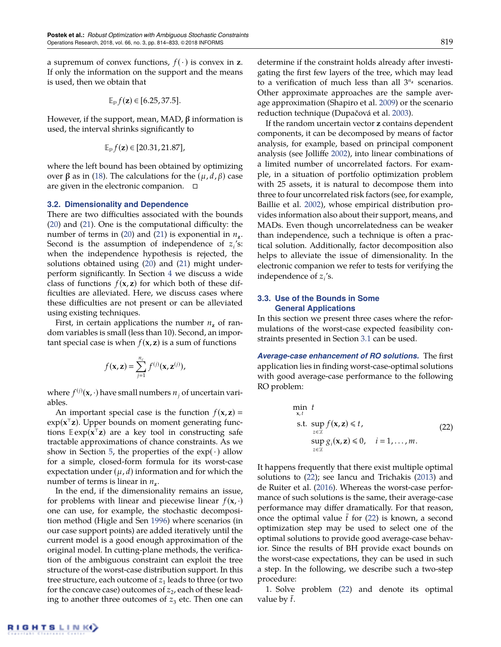a supremum of convex functions,  $f(\cdot)$  is convex in **z**. If only the information on the support and the means is used, then we obtain that

$$
\mathbb{E}_{\mathbb{P}}f(\mathbf{z}) \in [6.25, 37.5].
$$

However, if the support, mean, MAD,  $β$  information is used, the interval shrinks significantly to

$$
\mathbb{E}_{\mathbb{P}}f(\mathbf{z})\in[20.31,21.87],
$$

where the left bound has been obtained by optimizing over β as in [\(18\)](#page-5-3). The calculations for the  $(μ, d, β)$  case are given in the electronic companion.

#### **3.2. Dimensionality and Dependence**

There are two difficulties associated with the bounds [\(20\)](#page-5-6) and [\(21\)](#page-5-8). One is the computational difficulty: the number of terms in [\(20\)](#page-5-6) and [\(21\)](#page-5-8) is exponential in  $n_z$ . Second is the assumption of independence of  $z_i$ 's: when the independence hypothesis is rejected, the solutions obtained using [\(20\)](#page-5-6) and [\(21\)](#page-5-8) might underperform significantly. In Section [4](#page-8-0) we discuss a wide class of functions  $f(x, z)$  for which both of these difficulties are alleviated. Here, we discuss cases where these difficulties are not present or can be alleviated using existing techniques.

First, in certain applications the number  $n_z$  of random variables is small (less than 10). Second, an important special case is when  $f(x, z)$  is a sum of functions

$$
f(\mathbf{x}, \mathbf{z}) = \sum_{j=1}^{n_c} f^{(j)}(\mathbf{x}, \mathbf{z}^{(j)}),
$$

where  $f^{(j)}(\mathbf{x},\cdot)$  have small numbers  $n_j$  of uncertain variables.

An important special case is the function  $f(\mathbf{x}, \mathbf{z}) =$ exp(**x** <sup>&</sup>gt;**z**). Upper bounds on moment generating functions  $\mathbb{E} \exp(\mathbf{x}^{\mathsf{T}} \mathbf{z})$  are a key tool in constructing safe tractable approximations of chance constraints. As we show in Section [5,](#page-11-0) the properties of the  $exp(\cdot)$  allow for a simple, closed-form formula for its worst-case expectation under  $(\mu, d)$  information and for which the number of terms is linear in  $n_z$ .

In the end, if the dimensionality remains an issue, for problems with linear and piecewise linear  $f(\mathbf{x}, \cdot)$ one can use, for example, the stochastic decomposition method (Higle and Sen [1996\)](#page-20-32) where scenarios (in our case support points) are added iteratively until the current model is a good enough approximation of the original model. In cutting-plane methods, the verification of the ambiguous constraint can exploit the tree structure of the worst-case distribution support. In this tree structure, each outcome of  $z_1$  leads to three (or two for the concave case) outcomes of  $z_2$ , each of these leading to another three outcomes of  $z_3$  etc. Then one can determine if the constraint holds already after investigating the first few layers of the tree, which may lead to a verification of much less than all 3 *<sup>n</sup>***<sup>z</sup>** scenarios. Other approximate approaches are the sample average approximation (Shapiro et al. [2009\)](#page-20-33) or the scenario reduction technique (Dupačová et al. [2003\)](#page-20-34).

If the random uncertain vector **z** contains dependent components, it can be decomposed by means of factor analysis, for example, based on principal component analysis (see Jolliffe [2002\)](#page-20-35), into linear combinations of a limited number of uncorrelated factors. For example, in a situation of portfolio optimization problem with 25 assets, it is natural to decompose them into three to four uncorrelated risk factors (see, for example, Baillie et al. [2002\)](#page-19-11), whose empirical distribution provides information also about their support, means, and MADs. Even though uncorrelatedness can be weaker than independence, such a technique is often a practical solution. Additionally, factor decomposition also helps to alleviate the issue of dimensionality. In the electronic companion we refer to tests for verifying the independence of *z<sup>i</sup>* 's.

#### <span id="page-6-0"></span>**3.3. Use of the Bounds in Some General Applications**

In this section we present three cases where the reformulations of the worst-case expected feasibility constraints presented in Section [3.1](#page-5-10) can be used.

*Average-case enhancement of RO solutions.* The first application lies in finding worst-case-optimal solutions with good average-case performance to the following RO problem:

<span id="page-6-1"></span>
$$
\min_{\mathbf{x}, t} t
$$
\n
$$
\text{s.t. } \sup_{z \in \mathcal{Z}} f(\mathbf{x}, \mathbf{z}) \leq t, \quad \text{(22)}
$$
\n
$$
\sup_{z \in \mathcal{Z}} g_i(\mathbf{x}, \mathbf{z}) \leq 0, \quad i = 1, \dots, m.
$$

It happens frequently that there exist multiple optimal solutions to [\(22\)](#page-6-1); see Iancu and Trichakis [\(2013\)](#page-20-36) and de Ruiter et al. [\(2016\)](#page-19-12). Whereas the worst-case performance of such solutions is the same, their average-case performance may differ dramatically. For that reason, once the optimal value  $\bar{t}$  for [\(22\)](#page-6-1) is known, a second optimization step may be used to select one of the optimal solutions to provide good average-case behavior. Since the results of BH provide exact bounds on the worst-case expectations, they can be used in such a step. In the following, we describe such a two-step procedure:

1. Solve problem [\(22\)](#page-6-1) and denote its optimal value by *t*.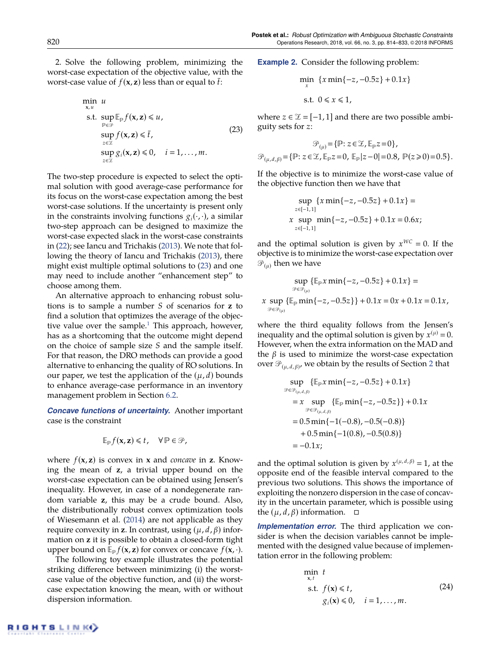2. Solve the following problem, minimizing the worst-case expectation of the objective value, with the worst-case value of  $f(\mathbf{x}, \mathbf{z})$  less than or equal to  $\bar{t}$ :

<span id="page-7-0"></span>
$$
\min_{\mathbf{x}, u} u
$$
\n
$$
\text{s.t. } \sup_{\mathbb{P} \in \mathcal{P}} \mathbb{E}_{\mathbb{P}} f(\mathbf{x}, \mathbf{z}) \leq u,
$$
\n
$$
\sup_{z \in \mathbb{Z}} f(\mathbf{x}, \mathbf{z}) \leq \overline{t},
$$
\n
$$
\sup_{z \in \mathbb{Z}} g_i(\mathbf{x}, \mathbf{z}) \leq 0, \quad i = 1, ..., m.
$$
\n(23)

The two-step procedure is expected to select the optimal solution with good average-case performance for its focus on the worst-case expectation among the best worst-case solutions. If the uncertainty is present only in the constraints involving functions  $g_i(\cdot, \cdot)$ , a similar two-step approach can be designed to maximize the worst-case expected slack in the worst-case constraints in [\(22\)](#page-6-1); see Iancu and Trichakis [\(2013\)](#page-20-36). We note that following the theory of Iancu and Trichakis [\(2013\)](#page-20-36), there might exist multiple optimal solutions to [\(23\)](#page-7-0) and one may need to include another "enhancement step" to choose among them.

<span id="page-7-2"></span>An alternative approach to enhancing robust solutions is to sample a number *S* of scenarios for **z** to find a solution that optimizes the average of the objective value over the sample. $<sup>1</sup>$  $<sup>1</sup>$  $<sup>1</sup>$  This approach, however,</sup> has as a shortcoming that the outcome might depend on the choice of sample size *S* and the sample itself. For that reason, the DRO methods can provide a good alternative to enhancing the quality of RO solutions. In our paper, we test the application of the  $(\mu, d)$  bounds to enhance average-case performance in an inventory management problem in Section [6.2.](#page-15-0)

*Concave functions of uncertainty.* Another important case is the constraint

$$
\mathbb{E}_{\mathbb{P}}f(\mathbf{x},\mathbf{z})\leq t,\quad \forall \mathbb{P}\in\mathcal{P},
$$

where  $f(\mathbf{x}, \mathbf{z})$  is convex in **x** and *concave* in **z**. Knowing the mean of **z**, a trivial upper bound on the worst-case expectation can be obtained using Jensen's inequality. However, in case of a nondegenerate random variable **z**, this may be a crude bound. Also, the distributionally robust convex optimization tools of Wiesemann et al. [\(2014\)](#page-20-24) are not applicable as they require convexity in **z**. In contrast, using  $(μ, d, β)$  information on **z** it is possible to obtain a closed-form tight upper bound on  $\mathbb{E}_{\mathbb{P}} f(\mathbf{x}, \mathbf{z})$  for convex or concave  $f(\mathbf{x}, \cdot)$ .

The following toy example illustrates the potential striking difference between minimizing (i) the worstcase value of the objective function, and (ii) the worstcase expectation knowing the mean, with or without dispersion information.

**Example 2.** Consider the following problem:

$$
\min_{x} \{x \min\{-z, -0.5z\} + 0.1x\}
$$
  
s.t.  $0 \le x \le 1$ ,

where *z* ∈  $\mathcal{Z}$  = [-1, 1] and there are two possible ambiguity sets for *z*:

$$
\mathcal{P}_{(\mu)} = \{ \mathbb{P} : z \in \mathcal{Z}, \mathbb{E}_{\mathbb{P}} z = 0 \},
$$
  

$$
\mathcal{P}_{(\mu, d, \beta)} = \{ \mathbb{P} : z \in \mathcal{Z}, \mathbb{E}_{\mathbb{P}} z = 0, \mathbb{E}_{\mathbb{P}} |z - 0| = 0.8, \mathbb{P}(z \ge 0) = 0.5 \}.
$$

If the objective is to minimize the worst-case value of the objective function then we have that

$$
\sup_{z \in [-1,1]} \{x \min\{-z, -0.5z\} + 0.1x\} =
$$
  
x 
$$
\sup_{z \in [-1,1]} \min\{-z, -0.5z\} + 0.1x = 0.6x;
$$

and the optimal solution is given by  $x^{WC} = 0$ . If the objective is to minimize the worst-case expectation over  $\mathscr{P}_{(\mu)}$  then we have

$$
\sup_{\mathcal{P}\in\mathcal{P}_{(\mu)}} \{ \mathbb{E}_{\mathbb{P}} x \min\{-z, -0.5z\} + 0.1x\} =
$$
  

$$
x \sup_{\mathcal{P}\in\mathcal{P}_{(\mu)}} \{ \mathbb{E}_{\mathbb{P}} \min\{-z, -0.5z\} \} + 0.1x = 0x + 0.1x = 0.1x,
$$

where the third equality follows from the Jensen's inequality and the optimal solution is given by  $x^{(\mu)} = 0$ . However, when the extra information on the MAD and the  $β$  is used to minimize the worst-case expectation over  $\mathscr{P}_{(\mu,\,d,\,\beta)}$ , we obtain by the results of Section [2](#page-3-0) that

$$
\sup_{\mathcal{P} \in \mathcal{P}_{(\mu,d,\beta)}} \{ \mathbb{E}_{\mathbb{P}} x \min \{-z, -0.5z\} + 0.1x \}
$$
\n
$$
= x \sup_{\mathcal{P} \in \mathcal{P}_{(\mu,d,\beta)}} \{ \mathbb{E}_{\mathbb{P}} \min \{-z, -0.5z\} \} + 0.1x
$$
\n
$$
= 0.5 \min \{-1(-0.8), -0.5(-0.8)\}
$$
\n
$$
+ 0.5 \min \{-1(0.8), -0.5(0.8)\}
$$
\n
$$
= -0.1x;
$$

and the optimal solution is given by  $x^{(\mu,d,\beta)} = 1$ , at the opposite end of the feasible interval compared to the previous two solutions. This shows the importance of exploiting the nonzero dispersion in the case of concavity in the uncertain parameter, which is possible using the ( $\mu$ , *d*, *β*) information.  $□$ 

<span id="page-7-1"></span>*Implementation error.* The third application we consider is when the decision variables cannot be implemented with the designed value because of implementation error in the following problem:

$$
\min_{\mathbf{x}, t} t
$$
\n
$$
\text{s.t. } f(\mathbf{x}) \leq t, \quad g_i(\mathbf{x}) \leq 0, \quad i = 1, \dots, m. \tag{24}
$$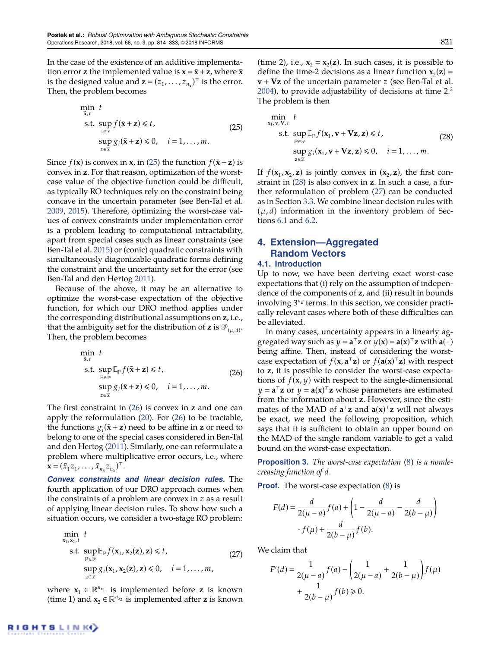<span id="page-8-6"></span>

In the case of the existence of an additive implementation error **z** the implemented value is  $\mathbf{x} = \bar{\mathbf{x}} + \mathbf{z}$ , where  $\bar{\mathbf{x}}$ is the designed value and  $\mathbf{z} = (z_1, \dots, z_{n_x})^\top$  is the error. Then, the problem becomes

<span id="page-8-2"></span>
$$
\min_{\substack{\bar{\mathbf{x}}, t \\ z \in \mathcal{Z}}} t\n\quad\n\text{s.t. } \sup_{z \in \mathcal{Z}} f(\bar{\mathbf{x}} + \mathbf{z}) \leq t,\n\quad\n\lim_{z \in \mathcal{Z}} g_i(\bar{\mathbf{x}} + \mathbf{z}) \leq 0, \quad i = 1, \dots, m.
$$
\n(25)

Since  $f(\mathbf{x})$  is convex in **x**, in [\(25\)](#page-8-2) the function  $f(\bar{\mathbf{x}} + \mathbf{z})$  is convex in **z**. For that reason, optimization of the worstcase value of the objective function could be difficult, as typically RO techniques rely on the constraint being concave in the uncertain parameter (see Ben-Tal et al. [2009,](#page-19-1) [2015\)](#page-19-2). Therefore, optimizing the worst-case values of convex constraints under implementation error is a problem leading to computational intractability, apart from special cases such as linear constraints (see Ben-Tal et al. [2015\)](#page-19-2) or (conic) quadratic constraints with simultaneously diagonizable quadratic forms defining the constraint and the uncertainty set for the error (see Ben-Tal and den Hertog [2011\)](#page-19-14).

Because of the above, it may be an alternative to optimize the worst-case expectation of the objective function, for which our DRO method applies under the corresponding distributional assumptions on **z**, i.e., that the ambiguity set for the distribution of **z** is  $\mathscr{P}_{(\mu,\,d)}$ . Then, the problem becomes

<span id="page-8-3"></span>
$$
\min_{\substack{\overline{\mathbf{x}}, t \\ \mathbf{B} \in \mathcal{P}}} t
$$
\n
$$
\text{s.t. } \sup_{\substack{\mathbf{p} \in \mathcal{P} \\ z \in \mathcal{I}}} \mathbb{E}_{\mathbf{p}} f(\overline{\mathbf{x}} + \mathbf{z}) \leq t, \quad \text{(26)}
$$
\n
$$
\sup_{z \in \mathcal{I}} g_i(\overline{\mathbf{x}} + \mathbf{z}) \leq 0, \quad i = 1, \dots, m.
$$

The first constraint in [\(26\)](#page-8-3) is convex in **z** and one can apply the reformulation [\(20\)](#page-5-6). For [\(26\)](#page-8-3) to be tractable, the functions  $g_i(\bar{x} + z)$  need to be affine in **z** or need to belong to one of the special cases considered in Ben-Tal and den Hertog [\(2011\)](#page-19-14). Similarly, one can reformulate a problem where multiplicative error occurs, i.e., where  $\mathbf{x} = (\bar{x}_1 z_1, \dots, \bar{x}_{n_x} z_{n_x})^{\top}.$ 

*Convex constraints and linear decision rules.* The fourth application of our DRO approach comes when the constraints of a problem are convex in *z* as a result of applying linear decision rules. To show how such a situation occurs, we consider a two-stage RO problem:

<span id="page-8-5"></span>
$$
\min_{\mathbf{x}_1, \mathbf{x}_2, t} t
$$
\n
$$
\text{s.t. } \sup_{\mathbb{P} \in \mathcal{P}} \mathbb{E}_{\mathbb{P}} f(\mathbf{x}_1, \mathbf{x}_2(\mathbf{z}), \mathbf{z}) \le t, \quad \text{(27)}
$$
\n
$$
\sup_{z \in \mathcal{Z}} g_i(\mathbf{x}_1, \mathbf{x}_2(\mathbf{z}), \mathbf{z}) \le 0, \quad i = 1, ..., m,
$$

where  $\mathbf{x}_1 \in \mathbb{R}^{n_{\mathbf{x}_1}}$  is implemented before **z** is known (time 1) and  $\mathbf{x}_2 \in \mathbb{R}^{n_{\mathbf{x}_2}}$  is implemented after **z** is known

(time 2), i.e.,  $x_2 = x_2(z)$ . In such cases, it is possible to define the time-2 decisions as a linear function  $x_2(z)$  = **v** + **Vz** of the uncertain parameter *z* (see Ben-Tal et al. [2004\)](#page-19-15), to provide adjustability of decisions at time  $2<sup>2</sup>$  $2<sup>2</sup>$ The problem is then

<span id="page-8-4"></span>
$$
\min_{\mathbf{x}_1, \mathbf{v}, \mathbf{V}, t} t
$$
\n
$$
\text{s.t. } \sup_{\mathbb{P} \in \mathcal{P}} \mathbb{E}_{\mathbb{P}} f(\mathbf{x}_1, \mathbf{v} + \mathbf{Vz}, \mathbf{z}) \leq t, \quad \text{(28)}
$$
\n
$$
\sup_{\mathbf{z} \in \mathcal{I}} g_i(\mathbf{x}_1, \mathbf{v} + \mathbf{Vz}, \mathbf{z}) \leq 0, \quad i = 1, \dots, m.
$$

If  $f(\mathbf{x}_1, \mathbf{x}_2, \mathbf{z})$  is jointly convex in  $(\mathbf{x}_2, \mathbf{z})$ , the first constraint in [\(28\)](#page-8-4) is also convex in **z**. In such a case, a further reformulation of problem [\(27\)](#page-8-5) can be conducted as in Section [3.3.](#page-7-1) We combine linear decision rules with  $(\mu, d)$  information in the inventory problem of Sections [6.1](#page-13-1) and [6.2.](#page-15-0)

# <span id="page-8-0"></span>**4. Extension—Aggregated Random Vectors**

#### **4.1. Introduction**

Up to now, we have been deriving exact worst-case expectations that (i) rely on the assumption of independence of the components of **z**, and (ii) result in bounds involving 3 *<sup>n</sup>***<sup>z</sup>** terms. In this section, we consider practically relevant cases where both of these difficulties can be alleviated.

In many cases, uncertainty appears in a linearly aggregated way such as  $y = a^{\top}z$  or  $y(x) = a(x)^{\top}z$  with  $a(\cdot)$ being affine. Then, instead of considering the worstcase expectation of  $f(\mathbf{x}, \mathbf{a}^T\mathbf{z})$  or  $f(\mathbf{a}(\mathbf{x})^T\mathbf{z})$  with respect to **z**, it is possible to consider the worst-case expectations of  $f$ (**x**,  $y$ ) with respect to the single-dimensional  $y = a^{\top}z$  or  $y = a(x)^{\top}z$  whose parameters are estimated from the information about **z**. However, since the estimates of the MAD of  $\mathbf{a}^\top \mathbf{z}$  and  $\mathbf{a}(\mathbf{x})^\top \mathbf{z}$  will not always be exact, we need the following proposition, which says that it is sufficient to obtain an upper bound on the MAD of the single random variable to get a valid bound on the worst-case expectation.

<span id="page-8-1"></span>**Proposition 3.** *The worst-case expectation [\(8\)](#page-4-1) is a nondecreasing function of d.*

**Proof.** The worst-case expectation [\(8\)](#page-4-1) is

$$
F(d) = \frac{d}{2(\mu - a)} f(a) + \left(1 - \frac{d}{2(\mu - a)} - \frac{d}{2(b - \mu)}\right)
$$

$$
\cdot f(\mu) + \frac{d}{2(b - \mu)} f(b).
$$

We claim that

$$
F'(d) = \frac{1}{2(\mu - a)} f(a) - \left(\frac{1}{2(\mu - a)} + \frac{1}{2(b - \mu)}\right) f(\mu) + \frac{1}{2(b - \mu)} f(b) \ge 0.
$$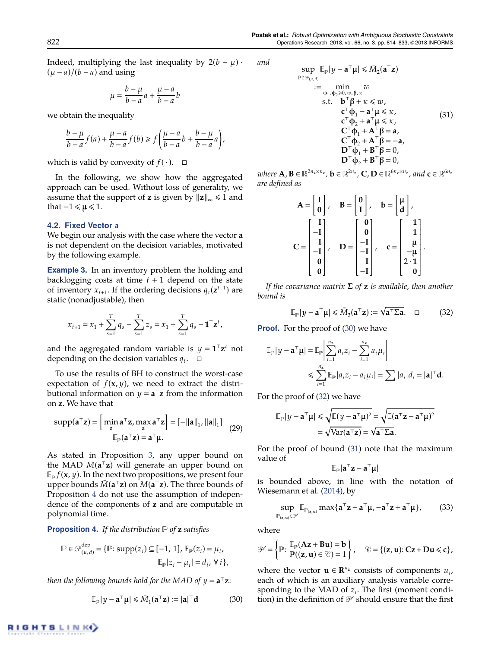*and*

Indeed, multiplying the last inequality by  $2(b - \mu)$ .  $(\mu - a)/(b - a)$  and using

$$
\mu = \frac{b - \mu}{b - a}a + \frac{\mu - a}{b - a}b
$$

we obtain the inequality

$$
\frac{b-\mu}{b-a}f(a)+\frac{\mu-a}{b-a}f(b)\geq f\left(\frac{\mu-a}{b-a}b+\frac{b-\mu}{b-a}a\right),
$$

which is valid by convexity of  $f(\cdot)$ .  $\Box$ 

In the following, we show how the aggregated approach can be used. Without loss of generality, we assume that the support of **z** is given by  $||z||_{\infty} \le 1$  and that  $-1 \leq \mu \leq 1$ .

#### **4.2. Fixed Vector a**

We begin our analysis with the case where the vector **a** is not dependent on the decision variables, motivated by the following example.

<span id="page-9-5"></span>**Example 3.** In an inventory problem the holding and backlogging costs at time  $t + 1$  depend on the state of inventory  $x_{t+1}$ . If the ordering decisions  $q_t(\mathbf{z}^{t-1})$  are static (nonadjustable), then

$$
x_{t+1} = x_1 + \sum_{s=1}^T q_s - \sum_{s=1}^T z_s = x_1 + \sum_{s=1}^T q_s - \mathbf{1}^\top \mathbf{z}^t,
$$

and the aggregated random variable is  $y = \mathbf{1}^\top \mathbf{z}^t$  not depending on the decision variables  $q_t$ .  $\Box$ 

To use the results of BH to construct the worst-case expectation of  $f$ (**x**,  $y$ ), we need to extract the distributional information on  $y = a^{\top}z$  from the information on **z**. We have that

$$
supp(\mathbf{a}^{\top}\mathbf{z}) = \begin{bmatrix} \min_{\mathbf{z}} \mathbf{a}^{\top}\mathbf{z}, \max_{\mathbf{z}} \mathbf{a}^{\top}\mathbf{z} \end{bmatrix} = [-\|\mathbf{a}\|_{1}, \|\mathbf{a}\|_{1}] \quad (29)
$$

$$
\mathbb{E}_{\mathbb{P}}(\mathbf{a}^{\top}\mathbf{z}) = \mathbf{a}^{\top}\mathbf{\mu}.
$$

As stated in Proposition [3,](#page-8-1) any upper bound on the MAD  $M(a^{\mathsf{T}}z)$  will generate an upper bound on  $\mathbb{E}_{p} f(\mathbf{x}, y)$ . In the next two propositions, we present four upper bounds  $\bar{M}$ ( $\mathbf{a}^{\top}$ z) on  $\bar{M}$ ( $\mathbf{a}^{\top}$ z). The three bounds of Proposition [4](#page-9-0) do not use the assumption of independence of the components of **z** and are computable in polynomial time.

<span id="page-9-0"></span>**Proposition 4.** *If the distribution of* **z** *satisfies*

$$
\mathbb{P} \in \mathcal{P}^{\text{dep}}_{(\mu,d)} = \{ \mathbb{P} \colon \text{supp}(z_i) \subseteq [-1, 1], \mathbb{E}_{\mathbb{P}}(z_i) = \mu_i,
$$
  

$$
\mathbb{E}_{\mathbb{P}} |z_i - \mu_i| = d_i, \forall i \},
$$

*then the following bounds hold for the MAD of*  $y = a^{\top}z$ *:* 

<span id="page-9-1"></span>
$$
\mathbb{E}_{\mathbb{P}}|y - \mathbf{a}^{\top}\mathbf{\mu}| \leq \bar{M}_1(\mathbf{a}^{\top}\mathbf{z}) := |\mathbf{a}|^{\top}\mathbf{d}
$$
 (30)

<span id="page-9-3"></span>
$$
\sup_{\mathbb{P}\in\mathcal{P}_{(\mu,d)}} \mathbb{E}_{\mathbb{P}}|y - \mathbf{a}^{\top}\mu| \leq \bar{M}_2(\mathbf{a}^{\top}\mathbf{z})
$$
\n
$$
:= \min_{\substack{\phi_1,\phi_2\geq 0,\,w,\,\beta,\,\kappa\\ \mathbf{S}.\mathbf{t}.}} w
$$
\n
$$
\text{s.t.} \quad \mathbf{b}^{\top}\beta + \kappa \leq w,
$$
\n
$$
\mathbf{c}^{\top}\phi_1 - \mathbf{a}^{\top}\mu \leq \kappa,
$$
\n
$$
\mathbf{c}^{\top}\phi_2 + \mathbf{a}^{\top}\mu \leq \kappa,
$$
\n
$$
\mathbf{C}^{\top}\phi_1 + \mathbf{A}^{\top}\beta = \mathbf{a},
$$
\n
$$
\mathbf{C}^{\top}\phi_2 + \mathbf{A}^{\top}\beta = -\mathbf{a},
$$
\n
$$
\mathbf{D}^{\top}\phi_1 + \mathbf{B}^{\top}\beta = 0,
$$
\n
$$
\mathbf{D}^{\top}\phi_2 + \mathbf{B}^{\top}\beta = 0,
$$

 $w$  *lette*  $\mathbf{A}, \mathbf{B} \in \mathbb{R}^{2n_z \times n_z}$ ,  $\mathbf{b} \in \mathbb{R}^{2n_z}$ ,  $\mathbf{C}, \mathbf{D} \in \mathbb{R}^{6n_z \times n_z}$ , and  $\mathbf{c} \in \mathbb{R}^{6n_z \times n_z}$ *are defined as*

$$
A = \begin{bmatrix} I \\ 0 \end{bmatrix}, \quad B = \begin{bmatrix} 0 \\ I \end{bmatrix}, \quad b = \begin{bmatrix} \mu \\ d \end{bmatrix},
$$

$$
C = \begin{bmatrix} I \\ -I \\ -I \\ 0 \\ 0 \end{bmatrix}, \quad D = \begin{bmatrix} 0 \\ 0 \\ -I \\ -I \\ -I \end{bmatrix}, \quad c = \begin{bmatrix} 1 \\ 1 \\ \mu \\ -\mu \\ 2 \cdot 1 \\ 0 \end{bmatrix}.
$$

 *If the covariance matrix* Σ *of* **z** *is available, then another bound is*

<span id="page-9-2"></span>
$$
\mathbb{E}_{p}|y - \mathbf{a}^{\top}\mathbf{\mu}| \leq \bar{M}_{3}(\mathbf{a}^{\top}\mathbf{z}) := \sqrt{\mathbf{a}^{\top}\Sigma\mathbf{a}}.\quad \Box \tag{32}
$$

**Proof.** For the proof of [\(30\)](#page-9-1) we have

$$
\mathbb{E}_{\mathbb{P}}|y - \mathbf{a}^{\top} \mu| = \mathbb{E}_{\mathbb{P}} \left| \sum_{i=1}^{n_{z}} a_{i} z_{i} - \sum_{i=1}^{n_{z}} a_{i} \mu_{i} \right|
$$
  
\$\leqslant \sum\_{i=1}^{n\_{z}} \mathbb{E}\_{\mathbb{P}} |a\_{i} z\_{i} - a\_{i} \mu\_{i}| = \sum |a\_{i}| d\_{i} = |\mathbf{a}|^{\top} \mathbf{d}\$.

For the proof of [\(32\)](#page-9-2) we have

$$
\mathbb{E}_{\mathbb{P}}|y - \mathbf{a}^{\top}\mu| \leq \sqrt{\mathbb{E}(y - \mathbf{a}^{\top}\mu)^2} = \sqrt{\mathbb{E}(\mathbf{a}^{\top}\mathbf{z} - \mathbf{a}^{\top}\mu)^2}
$$

$$
= \sqrt{\text{Var}(\mathbf{a}^{\top}\mathbf{z})} = \sqrt{\mathbf{a}^{\top}\Sigma\mathbf{a}}.
$$

For the proof of bound [\(31\)](#page-9-3) note that the maximum value of

$$
\mathbb{E}_{\mathbb{P}}|a^{\top}z-a^{\top}\mu|
$$

is bounded above, in line with the notation of Wiesemann et al. [\(2014\)](#page-20-24), by

<span id="page-9-4"></span>
$$
\sup_{\mathbb{P}_{(z,\mathbf{u})}\in\mathcal{P}'} \mathbb{E}_{\mathbb{P}_{(z,\mathbf{u})}} \max\{\mathbf{a}^\top \mathbf{z} - \mathbf{a}^\top \boldsymbol{\mu}, -\mathbf{a}^\top \mathbf{z} + \mathbf{a}^\top \boldsymbol{\mu}\},\qquad(33)
$$

where

$$
\mathcal{P}'=\left\{\mathbb{P}\colon \frac{\mathbb{E}_{\mathbb{P}}(\mathbf{A}\mathbf{z}+\mathbf{B}\mathbf{u})=\mathbf{b}}{\mathbb{P}((\mathbf{z},\mathbf{u})\in\mathscr{C})=1}\right\},\quad \mathscr{C}=\left\{(\mathbf{z},\mathbf{u})\colon \mathbf{C}\mathbf{z}+\mathbf{D}\mathbf{u}\leqslant\mathbf{c}\right\},\
$$

where the vector  $\mathbf{u} \in \mathbb{R}^{n_x}$  consists of components  $u_i$ , each of which is an auxiliary analysis variable corresponding to the MAD of *z<sup>i</sup>* . The first (moment condition) in the definition of  $\mathcal{P}'$  should ensure that the first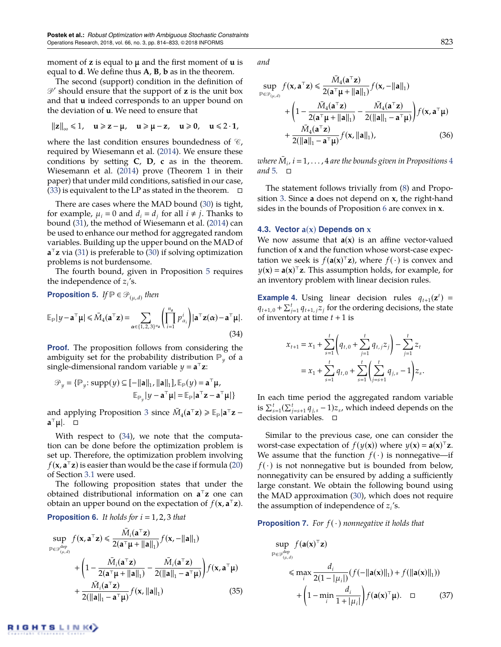moment of **z** is equal to  $\mu$  and the first moment of  $\mu$  is equal to **d**. We define thus **A**, **B**, **b** as in the theorem.

The second (support) condition in the definition of  $\mathcal{P}'$  should ensure that the support of **z** is the unit box and that **u** indeed corresponds to an upper bound on the deviation of **u**. We need to ensure that

$$
||z||_{\infty} \leq 1, \quad u \geqslant z - \mu, \quad u \geqslant \mu - z, \quad u \geqslant 0, \quad u \leqslant 2 \cdot 1,
$$

where the last condition ensures boundedness of  $\mathcal{C}_1$ , required by Wiesemann et al. [\(2014\)](#page-20-24). We ensure these conditions by setting **C**, **D**, **c** as in the theorem. Wiesemann et al. [\(2014\)](#page-20-24) prove (Theorem 1 in their paper) that under mild conditions, satisfied in our case,  $(33)$  is equivalent to the LP as stated in the theorem.  $\Box$ 

There are cases where the MAD bound [\(30\)](#page-9-1) is tight, for example,  $\mu_i = 0$  and  $d_i = d_j$  for all  $i \neq j$ . Thanks to bound [\(31\)](#page-9-3), the method of Wiesemann et al. [\(2014\)](#page-20-24) can be used to enhance our method for aggregated random variables. Building up the upper bound on the MAD of **a** <sup>&</sup>gt;**z** via [\(31\)](#page-9-3) is preferable to [\(30\)](#page-9-1) if solving optimization problems is not burdensome.

The fourth bound, given in Proposition [5](#page-10-0) requires the independence of  $z_i$ 's.

<span id="page-10-1"></span><span id="page-10-0"></span>**Proposition 5.** 
$$
If \mathbb{P} \in \mathcal{P}_{(\mu,d)}
$$
 then\n
$$
\mathbb{E}_{\mathbb{P}}|y - \mathbf{a}^{\top} \boldsymbol{\mu}| \leq \bar{M}_4(\mathbf{a}^{\top} \mathbf{z}) = \sum_{\alpha \in \{1,2,3\}^{n_{\mathbf{z}}}} \left( \prod_{i=1}^{n_{\mathbf{z}}} p_{\alpha_i}^i \right) |\mathbf{a}^{\top} \mathbf{z}(\alpha) - \mathbf{a}^{\top} \boldsymbol{\mu}|.
$$
\n(34)

**Proof.** The proposition follows from considering the ambiguity set for the probability distribution  $P_{\nu}$  of a single-dimensional random variable  $y = a^{\top}z$ :

$$
\mathcal{P}_y = \{ \mathbb{P}_y : \text{supp}(y) \subseteq [-\|\mathbf{a}\|_1, \|\mathbf{a}\|_1], \mathbb{E}_{\mathbb{P}}(y) = \mathbf{a}^\top \mathbf{\mu},
$$

$$
\mathbb{E}_{\mathbb{P}_y} |y - \mathbf{a}^\top \mathbf{\mu}| = \mathbb{E}_{\mathbb{P}} |\mathbf{a}^\top \mathbf{z} - \mathbf{a}^\top \mathbf{\mu}| \}
$$

and applying Proposition [3](#page-8-1) since  $\bar{M}_4(\mathbf{a}^\top \mathbf{z}) \geqslant \mathbb{E}_{\mathbb{P}} |\mathbf{a}^\top \mathbf{z}$ **a**<sup>⊤</sup>μ∣. ໋⊡

With respect to [\(34\)](#page-10-1), we note that the computation can be done before the optimization problem is set up. Therefore, the optimization problem involving  $f(\mathbf{x}, \mathbf{a}^{\top} \mathbf{z})$  is easier than would be the case if formula [\(20\)](#page-5-6) of Section [3.1](#page-5-10) were used.

The following proposition states that under the obtained distributional information on **a** <sup>&</sup>gt;**z** one can obtain an upper bound on the expectation of  $f(\mathbf{x}, \mathbf{a}^T \mathbf{z})$ .

<span id="page-10-2"></span>**Proposition 6.** It holds for 
$$
i = 1, 2, 3
$$
 that

$$
\sup_{\mathbb{P}\in\mathcal{P}_{(\mu,d)}^{\text{dep}}} f(\mathbf{x}, \mathbf{a}^{\top}\mathbf{z}) \leq \frac{\bar{M}_{i}(\mathbf{a}^{\top}\mathbf{z})}{2(\mathbf{a}^{\top}\mathbf{\mu} + ||\mathbf{a}||_{1})} f(\mathbf{x}, -||\mathbf{a}||_{1})
$$
  
+ 
$$
\left(1 - \frac{\bar{M}_{i}(\mathbf{a}^{\top}\mathbf{z})}{2(\mathbf{a}^{\top}\mathbf{\mu} + ||\mathbf{a}||_{1})} - \frac{\bar{M}_{i}(\mathbf{a}^{\top}\mathbf{z})}{2(||\mathbf{a}||_{1} - \mathbf{a}^{\top}\mathbf{\mu})}\right) f(\mathbf{x}, \mathbf{a}^{\top}\mathbf{\mu})
$$

$$
+ \frac{\bar{M}_{i}(\mathbf{a}^{\top}\mathbf{z})}{2(||\mathbf{a}||_{1} - \mathbf{a}^{\top}\mathbf{\mu})} f(\mathbf{x}, ||\mathbf{a}||_{1}) \tag{35}
$$

*and*

$$
\sup_{\mathbb{P}\in\mathcal{P}_{(\mu,d)}} f(\mathbf{x}, \mathbf{a}^\top \mathbf{z}) \le \frac{\bar{M}_4(\mathbf{a}^\top \mathbf{z})}{2(\mathbf{a}^\top \mathbf{\mu} + ||\mathbf{a}||_1)} f(\mathbf{x}, -||\mathbf{a}||_1) + \left(1 - \frac{\bar{M}_4(\mathbf{a}^\top \mathbf{z})}{2(\mathbf{a}^\top \mathbf{\mu} + ||\mathbf{a}||_1)} - \frac{\bar{M}_4(\mathbf{a}^\top \mathbf{z})}{2(||\mathbf{a}||_1 - \mathbf{a}^\top \mathbf{\mu})}\right) f(\mathbf{x}, \mathbf{a}^\top \mathbf{\mu}) + \frac{\bar{M}_4(\mathbf{a}^\top \mathbf{z})}{2(||\mathbf{a}||_1 - \mathbf{a}^\top \mathbf{\mu})} f(\mathbf{x}, ||\mathbf{a}||_1), \tag{36}
$$

where  $\bar{M}_i$  ,  $i$  =  $1$  ,  $\dots$  ,  $4$  are the bounds given in Propositions  $4$ and [5.](#page-10-0)  $\Box$ 

The statement follows trivially from [\(8\)](#page-4-1) and Proposition [3.](#page-8-1) Since **a** does not depend on **x**, the right-hand sides in the bounds of Proposition [6](#page-10-2) are convex in **x**.

#### **4.3. Vector a**(**x**) **Depends on x**

We now assume that  $a(x)$  is an affine vector-valued function of **x** and the function whose worst-case expectation we seek is  $f(\mathbf{a}(\mathbf{x})^T \mathbf{z})$ , where  $f(\cdot)$  is convex and  $y(x) = a(x)^{\top}z$ . This assumption holds, for example, for an inventory problem with linear decision rules.

<span id="page-10-4"></span>**Example 4.** Using linear decision rules  $q_{t+1}(\mathbf{z}^t) =$  $q_{t+1,0} + \sum_{j=1}^{t} q_{t+1,j} z_j$  for the ordering decisions, the state of inventory at time  $t + 1$  is

$$
x_{t+1} = x_1 + \sum_{s=1}^t \left( q_{t,0} + \sum_{j=1}^t q_{t,j} z_j \right) - \sum_{j=1}^t z_t
$$
  
=  $x_1 + \sum_{s=1}^t q_{t,0} + \sum_{s=1}^t \left( \sum_{j=s+1}^t q_{j,s} - 1 \right) z_s.$ 

In each time period the aggregated random variable is  $\sum_{s=1}^{t} (\sum_{j=s+1}^{t} q_{j,s} - 1)z_s$ , which indeed depends on the decision variables. □

Similar to the previous case, one can consider the worst-case expectation of  $f(y(x))$  where  $y(x) = a(x)^{\top}z$ . We assume that the function  $f(\cdot)$  is nonnegative—if  $f(\cdot)$  is not nonnegative but is bounded from below, nonnegativity can be ensured by adding a sufficiently large constant. We obtain the following bound using the MAD approximation [\(30\)](#page-9-1), which does not require the assumption of independence of *z<sup>i</sup>* 's.

**Proposition 7.** For  $f(\cdot)$  nonnegative it holds that

<span id="page-10-3"></span>
$$
\sup_{\mathbb{P}\in\mathcal{P}_{(\mu,d)}^{\text{dep}}} f(\mathbf{a}(\mathbf{x})^{\top}\mathbf{z})
$$
\n
$$
\leq \max_{i} \frac{d_{i}}{2(1 - |\mu_{i}|)} (f(-\|\mathbf{a}(\mathbf{x})\|_{1}) + f(\|\mathbf{a}(\mathbf{x})\|_{1}))
$$
\n
$$
+ \left(1 - \min_{i} \frac{d_{i}}{1 + |\mu_{i}|}\right) f(\mathbf{a}(\mathbf{x})^{\top}\mathbf{\mu}). \quad \Box \tag{37}
$$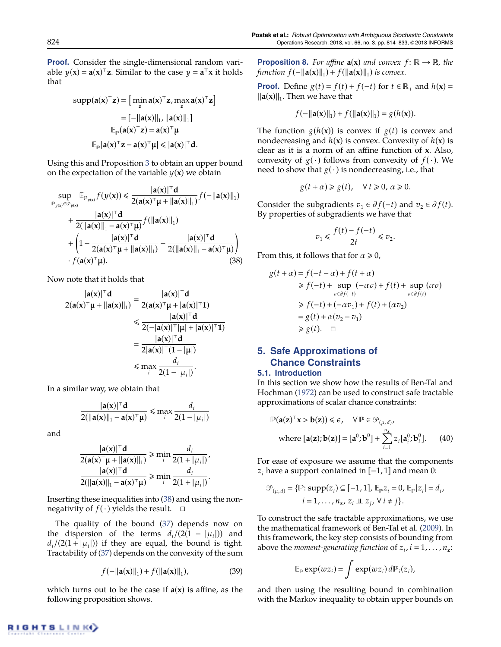**Proof.** Consider the single-dimensional random variable  $y(x) = a(x)^{\top}z$ . Similar to the case  $y = a^{\top}x$  it holds that

$$
\text{supp}(\mathbf{a}(\mathbf{x})^{\top}\mathbf{z}) = \left[\min_{\mathbf{z}} \mathbf{a}(\mathbf{x})^{\top}\mathbf{z}, \max_{\mathbf{z}} \mathbf{a}(\mathbf{x})^{\top}\mathbf{z}\right]
$$

$$
= \left[-\|\mathbf{a}(\mathbf{x})\|_{1}, \|\mathbf{a}(\mathbf{x})\|_{1}\right]
$$

$$
\mathbb{E}_{\mathbb{P}}(\mathbf{a}(\mathbf{x})^{\top}\mathbf{z}) = \mathbf{a}(\mathbf{x})^{\top}\mathbf{\mu}
$$

$$
\mathbb{E}_{\mathbb{P}}|\mathbf{a}(\mathbf{x})^{\top}\mathbf{z} - \mathbf{a}(\mathbf{x})^{\top}\mathbf{\mu}| \leq |\mathbf{a}(\mathbf{x})|^{\top}\mathbf{d}.
$$

Using this and Proposition [3](#page-8-1) to obtain an upper bound on the expectation of the variable  $y(x)$  we obtain

$$
\sup_{\mathbb{P}_{y(x)} \in \mathcal{P}_{y(x)}} \mathbb{E}_{\mathbb{P}_{y(x)}} f(y(\mathbf{x})) \leq \frac{|\mathbf{a}(\mathbf{x})|^\top \mathbf{d}}{2(\mathbf{a}(\mathbf{x})^\top \mu + ||\mathbf{a}(\mathbf{x})||_1)} f(-||\mathbf{a}(\mathbf{x})||_1) + \frac{|\mathbf{a}(\mathbf{x})|^\top \mathbf{d}}{2(||\mathbf{a}(\mathbf{x})||_1 - \mathbf{a}(\mathbf{x})^\top \mu)} f(||\mathbf{a}(\mathbf{x})||_1) + \left(1 - \frac{|\mathbf{a}(\mathbf{x})|^\top \mathbf{d}}{2(\mathbf{a}(\mathbf{x})^\top \mu + ||\mathbf{a}(\mathbf{x})||_1)} - \frac{|\mathbf{a}(\mathbf{x})|^\top \mathbf{d}}{2(||\mathbf{a}(\mathbf{x})||_1 - \mathbf{a}(\mathbf{x})^\top \mu)}\right) + f(\mathbf{a}(\mathbf{x})^\top \mu).
$$
\n(38)

Now note that it holds that

$$
\frac{|a(x)|^\top d}{2(a(x)^\top \mu + ||a(x)||_1)} = \frac{|a(x)|^\top d}{2(a(x)^\top \mu + |a(x)|^\top 1)}
$$
  
\n
$$
\leq \frac{|a(x)|^\top d}{2(-|a(x)|^\top |\mu| + |a(x)|^\top 1)}
$$
  
\n
$$
= \frac{|a(x)|^\top d}{2|a(x)|^\top (1 - |\mu|)}
$$
  
\n
$$
\leq \max_{i} \frac{d_i}{2(1 - |\mu_i|)}.
$$

In a similar way, we obtain that

$$
\frac{|\mathbf{a}(\mathbf{x})|^{\top} \mathbf{d}}{2(\|\mathbf{a}(\mathbf{x})\|_1 - \mathbf{a}(\mathbf{x})^{\top} \boldsymbol{\mu})} \leqslant \max_{i} \frac{d_i}{2(1 - |\mu_i|)}
$$

and

$$
\frac{|\mathbf{a}(\mathbf{x})|^{\top}\mathbf{d}}{2(\mathbf{a}(\mathbf{x})^{\top}\boldsymbol{\mu} + ||\mathbf{a}(\mathbf{x})||_1)} \ge \min_{i} \frac{d_i}{2(1 + |\mu_i|)},
$$

$$
\frac{|\mathbf{a}(\mathbf{x})|^{\top}\mathbf{d}}{2(||\mathbf{a}(\mathbf{x})||_1 - \mathbf{a}(\mathbf{x})^{\top}\boldsymbol{\mu})} \ge \min_{i} \frac{d_i}{2(1 + |\mu_i|)}.
$$

Inserting these inequalities into [\(38\)](#page-11-1) and using the nonnegativity of  $f(\cdot)$  yields the result.  $\Box$ 

The quality of the bound [\(37\)](#page-10-3) depends now on the dispersion of the terms  $d_i/(2(1 - |\mu_i|))$  and  $d_i/(2(1+|\mu_i|))$  if they are equal, the bound is tight. Tractability of [\(37\)](#page-10-3) depends on the convexity of the sum

$$
f(-\|\mathbf{a}(\mathbf{x})\|_{1}) + f(\|\mathbf{a}(\mathbf{x})\|_{1}), \qquad (39)
$$

which turns out to be the case if  $a(x)$  is affine, as the following proposition shows.

**Proposition 8.** For affine  $a(x)$  and convex  $f: \mathbb{R} \to \mathbb{R}$ , the *function*  $f(-\|\mathbf{a}(\mathbf{x})\|_1) + f(\|\mathbf{a}(\mathbf{x})\|_1)$  *is convex.* 

**Proof.** Define  $g(t) = f(t) + f(-t)$  for  $t \in \mathbb{R}_+$  and  $h(x) =$  $\|\mathbf{a}(\mathbf{x})\|_1$ . Then we have that

$$
f(-||\mathbf{a}(\mathbf{x})||_1) + f(||\mathbf{a}(\mathbf{x})||_1) = g(h(\mathbf{x})).
$$

The function  $g(h(x))$  is convex if  $g(t)$  is convex and nondecreasing and  $h(x)$  is convex. Convexity of  $h(x)$  is clear as it is a norm of an affine function of **x**. Also, convexity of  $g(\cdot)$  follows from convexity of  $f(\cdot)$ . We need to show that  $g(\cdot)$  is nondecreasing, i.e., that

$$
g(t+\alpha) \ge g(t), \quad \forall \, t \ge 0, \, \alpha \ge 0.
$$

Consider the subgradients  $v_1 \in \partial f(-t)$  and  $v_2 \in \partial f(t)$ . By properties of subgradients we have that

$$
v_1 \leq \frac{f(t) - f(-t)}{2t} \leq v_2.
$$

<span id="page-11-1"></span>From this, it follows that for  $\alpha \geq 0$ ,

$$
g(t + \alpha) = f(-t - \alpha) + f(t + \alpha)
$$
  
\n
$$
\ge f(-t) + \sup_{v \in \partial f(-t)} (-\alpha v) + f(t) + \sup_{v \in \partial f(t)} (\alpha v)
$$
  
\n
$$
\ge f(-t) + (-\alpha v_1) + f(t) + (\alpha v_2)
$$
  
\n
$$
= g(t) + \alpha (v_2 - v_1)
$$
  
\n
$$
\ge g(t). \quad \Box
$$

# <span id="page-11-0"></span>**5. Safe Approximations of Chance Constraints**

## **5.1. Introduction**

In this section we show how the results of Ben-Tal and Hochman [\(1972\)](#page-19-5) can be used to construct safe tractable approximations of scalar chance constraints:

<span id="page-11-2"></span>
$$
\mathbb{P}(\mathbf{a}(\mathbf{z})^{\top}\mathbf{x} > \mathbf{b}(\mathbf{z})) \leq \epsilon, \quad \forall \mathbb{P} \in \mathcal{P}_{(\mu,d)},
$$
\nwhere  $[\mathbf{a}(\mathbf{z}); \mathbf{b}(\mathbf{z})] = [\mathbf{a}^0; \mathbf{b}^0] + \sum_{i=1}^{n_{\mathbf{z}}} z_i [\mathbf{a}_i^0; \mathbf{b}_i^0].$  (40)

For ease of exposure we assume that the components *z<sup>i</sup>* have a support contained in [−1, 1] and mean 0:

$$
\mathcal{P}_{(\mu,d)} = \{ \mathbb{P}: \text{supp}(z_i) \subseteq [-1,1], \mathbb{E}_{\mathbb{P}} z_i = 0, \mathbb{E}_{\mathbb{P}} |z_i| = d_i, i = 1, ..., n_z, z_i \perp z_j, \forall i \neq j \}.
$$

To construct the safe tractable approximations, we use the mathematical framework of Ben-Tal et al. [\(2009\)](#page-19-1). In this framework, the key step consists of bounding from above the *moment-generating function* of  $z_i$ ,  $i = 1, \ldots, n_z$ :

$$
\mathbb{E}_{\mathbb{P}} \exp(wz_i) = \int \exp(wz_i) d\mathbb{P}_i(z_i),
$$

and then using the resulting bound in combination with the Markov inequality to obtain upper bounds on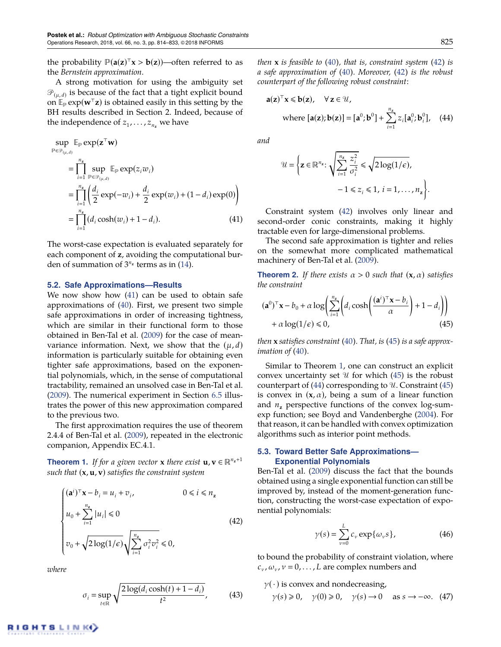the probability  $\mathbb{P}(\mathbf{a}(\mathbf{z})^T \mathbf{x} > \mathbf{b}(\mathbf{z}))$ —often referred to as the *Bernstein approximation*.

A strong motivation for using the ambiguity set  $\mathscr{P}_{(\mu,d)}$  is because of the fact that a tight explicit bound on  $\mathbb{E}_{p}$  exp( $w^{\top}z$ ) is obtained easily in this setting by the BH results described in Section 2. Indeed, because of the independence of  $z_1,\ldots,z_{n_{\mathbf{z}}}$  we have

$$
\sup_{\mathbb{P}\in\mathcal{P}_{(\mu,d)}} \mathbb{E}_{\mathbb{P}} \exp(\mathbf{z}^{\top}\mathbf{w})
$$
\n
$$
= \prod_{i=1}^{n_{\mathbf{z}}} \sup_{\mathbb{P}\in\mathcal{P}_{(\mu,d)}} \mathbb{E}_{\mathbb{P}} \exp(z_i w_i)
$$
\n
$$
= \prod_{i=1}^{n_{\mathbf{z}}} \left( \frac{d_i}{2} \exp(-w_i) + \frac{d_i}{2} \exp(w_i) + (1 - d_i) \exp(0) \right)
$$
\n
$$
= \prod_{i=1}^{n_{\mathbf{z}}} (d_i \cosh(w_i) + 1 - d_i). \tag{41}
$$

The worst-case expectation is evaluated separately for each component of **z**, avoiding the computational burden of summation of  $3^{n_z}$  terms as in [\(14\)](#page-5-2).

#### **5.2. Safe Approximations—Results**

We now show how [\(41\)](#page-12-0) can be used to obtain safe approximations of [\(40\)](#page-11-2). First, we present two simple safe approximations in order of increasing tightness, which are similar in their functional form to those obtained in Ben-Tal et al. [\(2009\)](#page-19-1) for the case of meanvariance information. Next, we show that the  $(\mu, d)$ information is particularly suitable for obtaining even tighter safe approximations, based on the exponential polynomials, which, in the sense of computational tractability, remained an unsolved case in Ben-Tal et al. [\(2009\)](#page-19-1). The numerical experiment in Section [6.5](#page-18-0) illustrates the power of this new approximation compared to the previous two.

The first approximation requires the use of theorem 2.4.4 of Ben-Tal et al. [\(2009\)](#page-19-1), repeated in the electronic companion, Appendix EC.4.1.

<span id="page-12-3"></span>**Theorem 1.** *If for a given vector* **x** *there exist* **u**,  $\mathbf{v} \in \mathbb{R}^{n_{\mathbf{z}}+1}$ *such that* (**x**, **u**, **v**) *satisfies the constraint system*

<span id="page-12-1"></span>
$$
\begin{cases}\n(\mathbf{a}^i)^\top \mathbf{x} - b_i = u_i + v_i, & 0 \le i \le n_\mathbf{z} \\
u_0 + \sum_{i=1}^{n_\mathbf{z}} |u_i| \le 0 \\
v_0 + \sqrt{2 \log(1/\epsilon)} \sqrt{\sum_{i=1}^{n_\mathbf{z}} \sigma_i^2 v_i^2} \le 0,\n\end{cases}
$$
\n(42)

*where*

$$
\sigma_i = \sup_{t \in \mathbb{R}} \sqrt{\frac{2\log(d_i \cosh(t) + 1 - d_i)}{t^2}},\tag{43}
$$

*then* **x** *is feasible to [\(40\)](#page-11-2), that is, constraint system [\(42\)](#page-12-1) is a safe approximation of [\(40\)](#page-11-2). Moreover, [\(42\)](#page-12-1) is the robust counterpart of the following robust constraint:*

$$
\mathbf{a}(\mathbf{z})^{\top}\mathbf{x} \leq \mathbf{b}(\mathbf{z}), \quad \forall \, \mathbf{z} \in \mathcal{U},
$$
\nwhere  $[\mathbf{a}(\mathbf{z}); \mathbf{b}(\mathbf{z})] = [\mathbf{a}^0; \mathbf{b}^0] + \sum_{i=1}^{n_{\mathbf{z}}} z_i [\mathbf{a}_i^0; \mathbf{b}_i^0], \quad (44)$ 

*and*

<span id="page-12-4"></span>
$$
\mathcal{U} = \left\{ \mathbf{z} \in \mathbb{R}^{n_{\mathbf{z}}} : \sqrt{\sum_{i=1}^{n_{\mathbf{z}}} \frac{z_i^2}{\sigma_i^2}} \leq \sqrt{2 \log(1/\epsilon)}, -1 \leq z_i \leq 1, i = 1, ..., n_{\mathbf{z}} \right\}.
$$

<span id="page-12-0"></span>Constraint system [\(42\)](#page-12-1) involves only linear and second-order conic constraints, making it highly tractable even for large-dimensional problems.

The second safe approximation is tighter and relies on the somewhat more complicated mathematical machinery of Ben-Tal et al. [\(2009\)](#page-19-1).

<span id="page-12-5"></span>**Theorem 2.** If there exists  $\alpha > 0$  such that  $(x, \alpha)$  satisfies *the constraint*

<span id="page-12-2"></span>
$$
(\mathbf{a}^0)^\top \mathbf{x} - b_0 + \alpha \log \left( \sum_{i=1}^{n_{\mathbf{z}}} \left( d_i \cosh \left( \frac{(\mathbf{a}^i)^\top \mathbf{x} - b_i}{\alpha} \right) + 1 - d_i \right) \right) + \alpha \log(1/\epsilon) \le 0,
$$
\n(45)

*then* **x** *satisfies constraint [\(40\)](#page-11-2). That, is [\(45\)](#page-12-2) is a safe approximation of [\(40\)](#page-11-2).*

Similar to Theorem [1,](#page-12-3) one can construct an explicit convex uncertainty set  $\mathcal U$  for which [\(45\)](#page-12-2) is the robust counterpart of [\(44\)](#page-12-4) corresponding to  $U$ . Constraint [\(45\)](#page-12-2) is convex in  $(x, \alpha)$ , being a sum of a linear function and  $n<sub>z</sub>$  perspective functions of the convex log-sumexp function; see Boyd and Vandenberghe [\(2004\)](#page-19-17). For that reason, it can be handled with convex optimization algorithms such as interior point methods.

#### **5.3. Toward Better Safe Approximations— Exponential Polynomials**

Ben-Tal et al. [\(2009\)](#page-19-1) discuss the fact that the bounds obtained using a single exponential function can still be improved by, instead of the moment-generation function, constructing the worst-case expectation of exponential polynomials:

<span id="page-12-7"></span><span id="page-12-6"></span>
$$
\gamma(s) = \sum_{\nu=0}^{L} c_{\nu} \exp\{\omega_{\nu}s\},\qquad(46)
$$

to bound the probability of constraint violation, where  $c_v$ ,  $\omega_v$ ,  $v = 0$ , ..., *L* are complex numbers and

 $\gamma(\cdot)$  is convex and nondecreasing,

$$
\gamma(s) \ge 0
$$
,  $\gamma(0) \ge 0$ ,  $\gamma(s) \to 0$  as  $s \to -\infty$ . (47)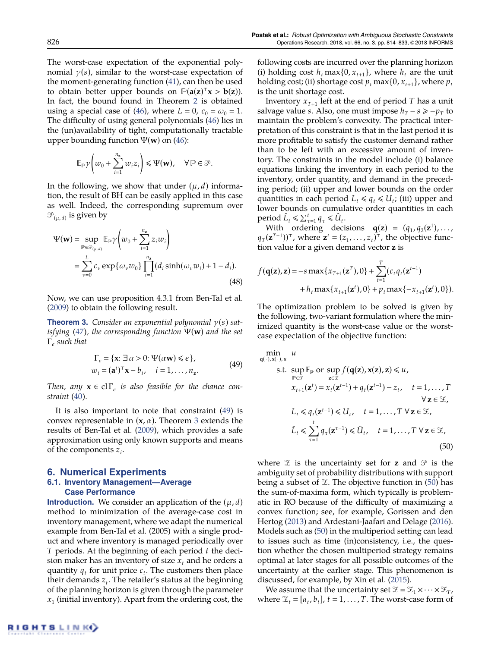The worst-case expectation of the exponential polynomial  $\gamma(s)$ , similar to the worst-case expectation of the moment-generating function [\(41\)](#page-12-0), can then be used to obtain better upper bounds on  $\mathbb{P}(\mathbf{a}(\mathbf{z})^T \mathbf{x} > \mathbf{b}(\mathbf{z}))$ . In fact, the bound found in Theorem [2](#page-12-5) is obtained using a special case of [\(46\)](#page-12-6), where  $L = 0$ ,  $c_0 = \omega_0 = 1$ . The difficulty of using general polynomials [\(46\)](#page-12-6) lies in the (un)availability of tight, computationally tractable upper bounding function Ψ(**w**) on [\(46\)](#page-12-6):

$$
\mathbb{E}_{\mathbb{P}}\gamma\left(w_0+\sum_{i=1}^{n_{\mathbf{z}}}w_iz_i\right)\leq \Psi(\mathbf{w}),\quad \forall\,\mathbb{P}\in\mathcal{P}.
$$

In the following, we show that under  $(\mu, d)$  information, the result of BH can be easily applied in this case as well. Indeed, the corresponding supremum over  $\mathscr{P}_{(\mu,\,d)}$  is given by

$$
\Psi(\mathbf{w}) = \sup_{\mathbb{P} \in \mathcal{P}_{(\mu,d)}} \mathbb{E}_{\mathbb{P}} \gamma \left( w_0 + \sum_{i=1}^{n_{\mathbf{z}}} z_i w_i \right)
$$
  
= 
$$
\sum_{\nu=0}^{L} c_{\nu} \exp \{ \omega_{\nu} w_0 \} \prod_{i=1}^{n_{\mathbf{z}}} (d_i \sinh(\omega_{\nu} w_i) + 1 - d_i).
$$
(48)

Now, we can use proposition 4.3.1 from Ben-Tal et al. [\(2009\)](#page-19-1) to obtain the following result.

<span id="page-13-3"></span>**Theorem 3.** *Consider an exponential polynomial* γ(*s*) *satisfying [\(47\)](#page-12-7), the corresponding function* Ψ(**w**) *and the set* Γ *such that*

<span id="page-13-2"></span>
$$
\Gamma_{\epsilon} = \{ \mathbf{x} : \exists \alpha > 0 : \Psi(\alpha \mathbf{w}) \le \epsilon \},
$$
  
\n
$$
w_i = (\mathbf{a}^i)^{\top} \mathbf{x} - b_i, \quad i = 1, ..., n_{\mathbf{z}}.
$$
\n(49)

*Then, any*  $\mathbf{x} \in \mathrm{cl}\,\Gamma_{\epsilon}$  *is also feasible for the chance constraint [\(40\)](#page-11-2).*

It is also important to note that constraint [\(49\)](#page-13-2) is convex representable in  $(x, \alpha)$ . Theorem [3](#page-13-3) extends the results of Ben-Tal et al. [\(2009\)](#page-19-1), which provides a safe approximation using only known supports and means of the components *z<sup>i</sup>* .

#### <span id="page-13-1"></span><span id="page-13-0"></span>**6. Numerical Experiments 6.1. Inventory Management—Average Case Performance**

**Introduction.** We consider an application of the  $(\mu, d)$ method to minimization of the average-case cost in inventory management, where we adapt the numerical example from Ben-Tal et al. (2005) with a single product and where inventory is managed periodically over *T* periods. At the beginning of each period *t* the decision maker has an inventory of size  $x_t$  and he orders a quantity  $q_t$  for unit price  $c_t$ . The customers then place their demands *z<sup>t</sup>* . The retailer's status at the beginning of the planning horizon is given through the parameter *x*1 (initial inventory). Apart from the ordering cost, the

following costs are incurred over the planning horizon (i) holding cost  $h_t$  max $\{0, x_{t+1}\}$ , where  $h_t$  are the unit holding cost; (ii) shortage cost  $p_t$  max {0,  $x_{t+1}$ }, where  $p_t$ is the unit shortage cost.

Inventory  $x_{T+1}$  left at the end of period  $T$  has a unit salvage value *s*. Also, one must impose  $h_T - s \ge -p_T$  to maintain the problem's convexity. The practical interpretation of this constraint is that in the last period it is more profitable to satisfy the customer demand rather than to be left with an excessive amount of inventory. The constraints in the model include (i) balance equations linking the inventory in each period to the inventory, order quantity, and demand in the preceding period; (ii) upper and lower bounds on the order quantities in each period  $L_t \leq q_t \leq U_t$ ; (iii) upper and lower bounds on cumulative order quantities in each  $\text{period } \hat{L}_t \leq \sum_{\tau=1}^t q_{\tau} \leq \hat{U}_t.$ 

With ordering decisions  $\mathbf{q}(\mathbf{z}) = (q_1, q_2(\mathbf{z}^1), \dots,$  $q_T(z^{T-1})$ <sup>T</sup>, where  $z^t = (z_1, \ldots, z_t)$ <sup>T</sup>, the objective function value for a given demand vector **z** is

$$
f(\mathbf{q}(\mathbf{z}), \mathbf{z}) = -s \max\{x_{T+1}(\mathbf{z}^T), 0\} + \sum_{t=1}^T (c_t q_t(\mathbf{z}^{t-1}) + h_t \max\{x_{t+1}(\mathbf{z}^t), 0\} + p_t \max\{-x_{t+1}(\mathbf{z}^t), 0\}).
$$

The optimization problem to be solved is given by the following, two-variant formulation where the minimized quantity is the worst-case value or the worstcase expectation of the objective function:

min  
\n
$$
\lim_{\mathbf{q}(\cdot), \mathbf{x}(\cdot), u} u
$$
\n
$$
\text{s.t. } \sup_{\mathbf{p} \in \mathcal{P}} \mathbb{E}_{\mathbf{p}} \text{ or } \sup_{\mathbf{z} \in \mathcal{Z}} f(\mathbf{q}(\mathbf{z}), \mathbf{x}(\mathbf{z}), \mathbf{z}) \leq u,
$$
\n
$$
x_{t+1}(\mathbf{z}^t) = x_t(\mathbf{z}^{t-1}) + q_t(\mathbf{z}^{t-1}) - z_t, \quad t = 1, ..., T
$$
\n
$$
\forall \mathbf{z} \in \mathcal{Z},
$$
\n
$$
L_t \leq q_t(\mathbf{z}^{t-1}) \leq U_t, \quad t = 1, ..., T \ \forall \mathbf{z} \in \mathcal{Z},
$$
\n
$$
\hat{L}_t \leq \sum_{\tau=1}^t q_\tau(\mathbf{z}^{\tau-1}) \leq \hat{U}_t, \quad t = 1, ..., T \ \forall \mathbf{z} \in \mathcal{Z},
$$
\n(50)

<span id="page-13-4"></span>where  $\mathcal{Z}$  is the uncertainty set for **z** and  $\mathcal{P}$  is the ambiguity set of probability distributions with support being a subset of  $\mathcal{Z}$ . The objective function in [\(50\)](#page-13-4) has the sum-of-maxima form, which typically is problematic in RO because of the difficulty of maximizing a convex function; see, for example, Gorissen and den Hertog [\(2013\)](#page-20-37) and Ardestani-Jaafari and Delage [\(2016\)](#page-19-18). Models such as [\(50\)](#page-13-4) in the multiperiod setting can lead to issues such as time (in)consistency, i.e., the question whether the chosen multiperiod strategy remains optimal at later stages for all possible outcomes of the uncertainty at the earlier stage. This phenomenon is discussed, for example, by Xin et al. [\(2015\)](#page-20-38).

We assume that the uncertainty set  $\mathcal{Z} = \mathcal{Z}_1 \times \cdots \times \mathcal{Z}_T$ , where  $\mathcal{Z}_t = [a_t, b_t]$ ,  $t = 1, ..., T$ . The worst-case form of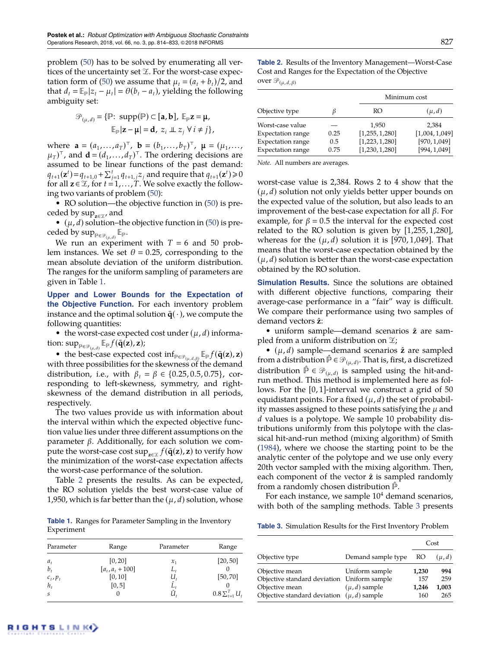problem [\(50\)](#page-13-4) has to be solved by enumerating all vertices of the uncertainty set  $\mathcal{I}$ . For the worst-case expec-tation form of [\(50\)](#page-13-4) we assume that  $\mu_t = (a_t + b_t)/2$ , and that  $d_t = \mathbb{E}_{\mathbb{P}} |z_t - \mu_t| = \theta(b_t - a_t)$ , yielding the following ambiguity set:

$$
\mathcal{P}_{(\mu,d)} = \{ \mathbb{P}: \text{ supp}(\mathbb{P}) \subset [\mathbf{a}, \mathbf{b}], \mathbb{E}_{\mathbb{P}} \mathbf{z} = \mathbf{\mu}, \mathbb{E}_{\mathbb{P}} | \mathbf{z} - \mathbf{\mu} | = \mathbf{d}, z_i \perp z_j \forall i \neq j \},
$$

where  $\mathbf{a} = (a_1, ..., a_T)^T$ ,  $\mathbf{b} = (b_1, ..., b_T)^T$ ,  $\mathbf{\mu} = (\mu_1, ..., \mu_T)^T$  $(\mu_T)^\top$ , and  $\mathbf{d} = (d_1, ..., d_T)^\top$ . The ordering decisions are assumed to be linear functions of the past demand:  $q_{t+1}(\mathbf{z}^t) = q_{t+1,0} + \sum_{j=1}^t q_{t+1,j} z_j$  and require that  $q_{t+1}(\mathbf{z}^t) \geq 0$ for all  $z \in \mathcal{Z}$ , for  $t = 1, \ldots, T$ . We solve exactly the following two variants of problem [\(50\)](#page-13-4):

• RO solution—the objective function in [\(50\)](#page-13-4) is preceded by sup<sub>z∈≆</sub>, and

 $\bullet$   $(\mu, d)$  solution–the objective function in [\(50\)](#page-13-4) is preceded by  $\sup_{\mathbb{P}\in\mathscr{P}_{(\mu,d)}}\mathbb{E}_{\mathbb{P}}.$ 

We run an experiment with  $T = 6$  and 50 problem instances. We set  $\theta = 0.25$ , corresponding to the mean absolute deviation of the uniform distribution. The ranges for the uniform sampling of parameters are given in Table [1.](#page-14-0)

**Upper and Lower Bounds for the Expectation of the Objective Function.** For each inventory problem instance and the optimal solution  $\bar{q}(\cdot)$ , we compute the following quantities:

• the worst-case expected cost under  $(\mu, d)$  informa- $\text{tion: sup}_{\mathbb{P} \in \mathscr{P}_{(\mu,d)}} \mathbb{E}_{\mathbb{P}}f(\bar{\mathbf{q}}(\mathbf{\hat{z}}), \mathbf{z});$ 

• the best-case expected cost  $\inf_{\mathbb{P}\in\mathcal{P}_{(\mu,d,\beta)}} \mathbb{E}_{\mathbb{P}} f(\bar{\mathbf{q}}(\mathbf{z}), \mathbf{z})$ with three possibilities for the skewness of the demand distribution, i.e., with  $β_t = β ∈ {0.25, 0.5, 0.75}$ , corresponding to left-skewness, symmetry, and rightskewness of the demand distribution in all periods, respectively.

The two values provide us with information about the interval within which the expected objective function value lies under three different assumptions on the parameter β. Additionally, for each solution we com- $\frac{1}{2}$  pute the worst-case cost  $\sup_{\mathbf{z}\in\mathcal{I}}f(\mathbf{\bar{q}}(\mathbf{z}),\mathbf{z})$  to verify how the minimization of the worst-case expectation affects the worst-case performance of the solution.

Table [2](#page-14-1) presents the results. As can be expected, the RO solution yields the best worst-case value of 1,950, which is far better than the  $(\mu, d)$  solution, whose

<span id="page-14-0"></span>**Table 1.** Ranges for Parameter Sampling in the Inventory Experiment

| Parameter                   | Range              | Parameter | Range                    |
|-----------------------------|--------------------|-----------|--------------------------|
| $a_t$                       | [0, 20]            | $x_{1}$   | [20, 50]                 |
| $b_{\star}$                 | $[a_t, a_t + 100]$ | L,        |                          |
| $c_t, p_t$                  | [0, 10]            | u,        | [50, 70]                 |
| $h_t$                       | [0, 5]             | Ĺ,        |                          |
| $\mathcal{S}_{\mathcal{S}}$ |                    |           | $0.8 \sum_{t=1}^{T} U_t$ |

<span id="page-14-1"></span>**Table 2.** Results of the Inventory Management—Worst-Case Cost and Ranges for the Expectation of the Objective over  $\mathcal{P}_{(\mu, d, \beta)}$ 

|                          |      |                  | Minimum cost  |  |  |
|--------------------------|------|------------------|---------------|--|--|
| Objective type           |      | RO               | $(\mu, d)$    |  |  |
| Worst-case value         |      | 1.950            | 2.384         |  |  |
| <b>Expectation range</b> | 0.25 | [1, 255, 1, 280] | [1,004,1,049] |  |  |
| <b>Expectation range</b> | 0.5  | [1,223,1,280]    | [970, 1,049]  |  |  |
| <b>Expectation range</b> | 0.75 | [1,230,1,280]    | [994, 1, 049] |  |  |

*Note.* All numbers are averages.

worst-case value is 2,384. Rows 2 to 4 show that the  $(\mu, d)$  solution not only yields better upper bounds on the expected value of the solution, but also leads to an improvement of the best-case expectation for all  $β$ . For example, for  $\beta = 0.5$  the interval for the expected cost related to the RO solution is given by [1,255, 1,280], whereas for the  $(\mu, d)$  solution it is [970, 1,049]. That means that the worst-case expectation obtained by the  $(\mu, d)$  solution is better than the worst-case expectation obtained by the RO solution.

**Simulation Results.** Since the solutions are obtained with different objective functions, comparing their average-case performance in a "fair" way is difficult. We compare their performance using two samples of demand vectors **z**ˆ:

• uniform sample—demand scenarios  $\hat{z}$  are sampled from a uniform distribution on  $\mathfrak{X}$ ;

•  $(\mu, d)$  sample—demand scenarios  $\hat{z}$  are sampled from a distribution  $\hat{P} \in \mathcal{P}_{(\mu,d)}$ . That is, first, a discretized distribution  $\hat{P} \in \mathcal{P}_{(\mu,d)}$  is sampled using the hit-andrun method. This method is implemented here as follows. For the [0, 1]-interval we construct a grid of 50 equidistant points. For a fixed  $(\mu, d)$  the set of probability masses assigned to these points satisfying the  $\mu$  and *d* values is a polytope. We sample 10 probability distributions uniformly from this polytope with the classical hit-and-run method (mixing algorithm) of Smith [\(1984\)](#page-20-39), where we choose the starting point to be the analytic center of the polytope and we use only every 20th vector sampled with the mixing algorithm. Then, each component of the vector  $\hat{z}$  is sampled randomly from a randomly chosen distribution  $P$ .

For each instance, we sample  $10<sup>4</sup>$  demand scenarios, with both of the sampling methods. Table [3](#page-14-2) presents

<span id="page-14-2"></span>**Table 3.** Simulation Results for the First Inventory Problem

|                                                |                    |       | Cost       |
|------------------------------------------------|--------------------|-------|------------|
| Objective type                                 | Demand sample type | RO    | $(\mu, d)$ |
| Objective mean                                 | Uniform sample     | 1,230 | 994        |
| Objective standard deviation Uniform sample    |                    | 157   | 259        |
| Objective mean                                 | $(\mu, d)$ sample  | 1,246 | 1,003      |
| Objective standard deviation $(\mu, d)$ sample |                    | 160   | 265        |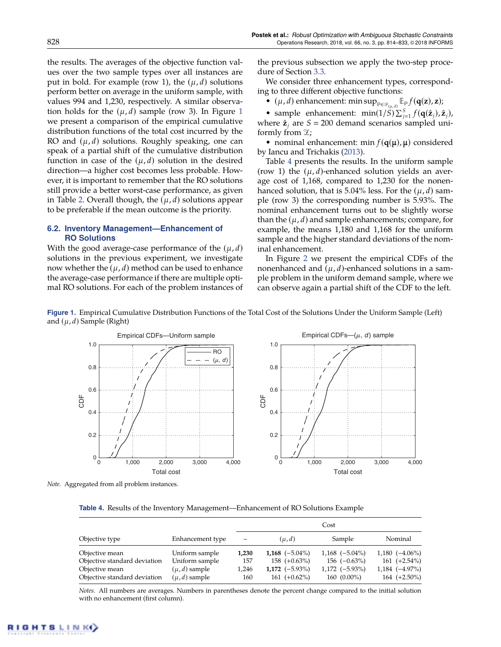the results. The averages of the objective function values over the two sample types over all instances are put in bold. For example (row 1), the  $(\mu, d)$  solutions perform better on average in the uniform sample, with values 994 and 1,230, respectively. A similar observation holds for the  $(\mu, d)$  sample (row 3). In Figure [1](#page-15-1) we present a comparison of the empirical cumulative distribution functions of the total cost incurred by the RO and  $(\mu, d)$  solutions. Roughly speaking, one can speak of a partial shift of the cumulative distribution function in case of the  $(\mu, d)$  solution in the desired direction—a higher cost becomes less probable. However, it is important to remember that the RO solutions still provide a better worst-case performance, as given in Table [2.](#page-14-1) Overall though, the  $(\mu, d)$  solutions appear to be preferable if the mean outcome is the priority.

#### <span id="page-15-0"></span>**6.2. Inventory Management—Enhancement of RO Solutions**

With the good average-case performance of the  $(\mu, d)$ solutions in the previous experiment, we investigate now whether the  $(\mu, d)$  method can be used to enhance the average-case performance if there are multiple optimal RO solutions. For each of the problem instances of the previous subsection we apply the two-step procedure of Section [3.3.](#page-6-0)

We consider three enhancement types, corresponding to three different objective functions:

•  $(\mu, d)$  enhancement: min  $\sup_{\mathbb{P} \in \mathcal{P}_{(\mu,d)}} \mathbb{E}_{\mathbb{P}} f(\mathbf{q}(\mathbf{z}), \mathbf{z});$ 

• sample enhancement:  $\min(1/\tilde{S}) \sum_{j=1}^{S} f(\mathbf{q}(\hat{\mathbf{z}}_j), \hat{\mathbf{z}}_j)$ , where  $\hat{z}_i$  are  $S = 200$  demand scenarios sampled uniformly from  $\mathfrak{X}$ ;

• nominal enhancement: min  $f(\mathbf{q}(\mu), \mu)$  considered by Iancu and Trichakis [\(2013\)](#page-20-36).

Table [4](#page-15-2) presents the results. In the uniform sample (row 1) the  $(\mu, d)$ -enhanced solution yields an average cost of 1,168, compared to 1,230 for the nonenhanced solution, that is 5.04% less. For the  $(\mu, d)$  sample (row 3) the corresponding number is 5.93%. The nominal enhancement turns out to be slightly worse than the  $(\mu, d)$  and sample enhancements; compare, for example, the means 1,180 and 1,168 for the uniform sample and the higher standard deviations of the nominal enhancement.

In Figure [2](#page-16-0) we present the empirical CDFs of the nonenhanced and  $(\mu, d)$ -enhanced solutions in a sample problem in the uniform demand sample, where we can observe again a partial shift of the CDF to the left.

<span id="page-15-1"></span>

**Figure 1.** Empirical Cumulative Distribution Functions of the Total Cost of the Solutions Under the Uniform Sample (Left) and  $(\mu, d)$  Sample (Right)

*Note.* Aggregated from all problem instances.

<span id="page-15-2"></span>**Table 4.** Results of the Inventory Management—Enhancement of RO Solutions Example

|                              |                   | Cost  |                   |                     |                     |  |
|------------------------------|-------------------|-------|-------------------|---------------------|---------------------|--|
| Objective type               | Enhancement type  | -     | $(\mu, d)$        | Sample              | Nominal             |  |
| Objective mean               | Uniform sample    | 1,230 | 1,168 $(-5.04\%)$ | $1,168$ $(-5.04\%)$ | $1,180(-4.06\%)$    |  |
| Objective standard deviation | Uniform sample    | 157   | $158 (+0.63\%)$   | $156 (-0.63\%)$     | $161 (+2.54\%)$     |  |
| Objective mean               | $(\mu, d)$ sample | 1,246 | 1,172 $(-5.93\%)$ | $1,172(-5.93\%)$    | $1,184 \ (-4.97\%)$ |  |
| Objective standard deviation | $(\mu, d)$ sample | 160   | $161 (+0.62\%)$   | $160(0.00\%)$       | $164 (+2.50\%)$     |  |

*Notes.* All numbers are averages. Numbers in parentheses denote the percent change compared to the initial solution with no enhancement (first column).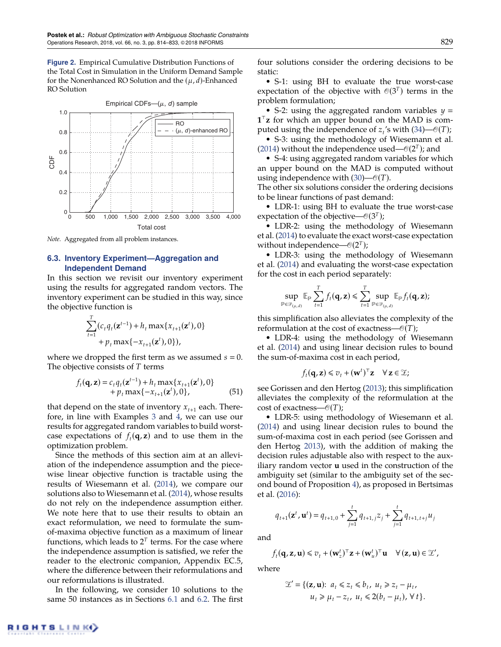<span id="page-16-0"></span>**Figure 2.** Empirical Cumulative Distribution Functions of the Total Cost in Simulation in the Uniform Demand Sample for the Nonenhanced RO Solution and the  $(\mu, d)$ -Enhanced RO Solution



*Note.* Aggregated from all problem instances.

#### **6.3. Inventory Experiment—Aggregation and Independent Demand**

In this section we revisit our inventory experiment using the results for aggregated random vectors. The inventory experiment can be studied in this way, since the objective function is

$$
\sum_{t=1}^{T} (c_t q_t(\mathbf{z}^{t-1}) + h_t \max\{x_{t+1}(\mathbf{z}^t), 0\} + p_t \max\{-x_{t+1}(\mathbf{z}^t), 0\}),
$$

where we dropped the first term as we assumed  $s = 0$ . The objective consists of *T* terms

$$
f_t(\mathbf{q}, \mathbf{z}) = c_t q_t(\mathbf{z}^{t-1}) + h_t \max\{x_{t+1}(\mathbf{z}^t), 0\} + p_t \max\{-x_{t+1}(\mathbf{z}^t), 0\},
$$
\n(51)

that depend on the state of inventory  $x_{t+1}$  each. Therefore, in line with Examples [3](#page-9-5) and [4,](#page-10-4) we can use our results for aggregated random variables to build worstcase expectations of  $f_t(\mathbf{q}, \mathbf{z})$  and to use them in the optimization problem.

Since the methods of this section aim at an alleviation of the independence assumption and the piecewise linear objective function is tractable using the results of Wiesemann et al. [\(2014\)](#page-20-24), we compare our solutions also to Wiesemann et al. [\(2014\)](#page-20-24), whose results do not rely on the independence assumption either. We note here that to use their results to obtain an exact reformulation, we need to formulate the sumof-maxima objective function as a maximum of linear functions, which leads to  $2^T$  terms. For the case where the independence assumption is satisfied, we refer the reader to the electronic companion, Appendix EC.5, where the difference between their reformulations and our reformulations is illustrated.

In the following, we consider 10 solutions to the same 50 instances as in Sections [6.1](#page-13-1) and [6.2.](#page-15-0) The first four solutions consider the ordering decisions to be static:

• S-1: using BH to evaluate the true worst-case expectation of the objective with  $\mathcal{O}(3^T)$  terms in the problem formulation;

• S-2: using the aggregated random variables *y*  $1^{\top}$ **z** for which an upper bound on the MAD is computed using the independence of  $z_t$ 's with [\(34\)](#page-10-1)— $\mathcal{O}(T)$ ;

• S-3: using the methodology of Wiesemann et al. [\(2014\)](#page-20-24) without the independence used— $\mathcal{O}(2^T)$ ; and

• S-4: using aggregated random variables for which an upper bound on the MAD is computed without using independence with  $(30)$ — $\mathcal{O}(T)$ .

The other six solutions consider the ordering decisions to be linear functions of past demand:

• LDR-1: using BH to evaluate the true worst-case expectation of the objective— $\mathcal{O}(3^T)$ ;

• LDR-2: using the methodology of Wiesemann et al. [\(2014\)](#page-20-24) to evaluate the exact worst-case expectation without independence— $\mathcal{O}(2^T)$ ;

• LDR-3: using the methodology of Wiesemann et al. [\(2014\)](#page-20-24) and evaluating the worst-case expectation for the cost in each period separately:

$$
\sup_{\mathbb{P}\in\mathscr{P}_{(\mu,d)}}\mathbb{E}_{\mathbb{P}}\sum_{t=1}^Tf_t(\mathbf{q},\mathbf{z})\leqslant \sum_{t=1}^T \sup_{\mathbb{P}\in\mathscr{P}_{(\mu,d)}}\mathbb{E}_{\mathbb{P}}f_t(\mathbf{q},\mathbf{z});
$$

this simplification also alleviates the complexity of the reformulation at the cost of exactness— $\mathcal{O}(T)$ ;

• LDR-4: using the methodology of Wiesemann et al. [\(2014\)](#page-20-24) and using linear decision rules to bound the sum-of-maxima cost in each period,

$$
f_t(\mathbf{q}, \mathbf{z}) \leq v_t + (\mathbf{w}^t)^{\top} \mathbf{z} \quad \forall \, \mathbf{z} \in \mathcal{Z};
$$

see Gorissen and den Hertog [\(2013\)](#page-20-37); this simplification alleviates the complexity of the reformulation at the cost of exactness— $\mathcal{O}(T)$ ;

• LDR-5: using methodology of Wiesemann et al. [\(2014\)](#page-20-24) and using linear decision rules to bound the sum-of-maxima cost in each period (see Gorissen and den Hertog [2013\)](#page-20-37), with the addition of making the decision rules adjustable also with respect to the auxiliary random vector **u** used in the construction of the ambiguity set (similar to the ambiguity set of the second bound of Proposition [4\)](#page-9-0), as proposed in Bertsimas et al. [\(2016\)](#page-19-19):

 $q_{t+1}(\mathbf{z}^t, \mathbf{u}^t) = q_{t+1,0} + \sum_{i=1}^t q_i$  $\sum_{j=1}^{t} q_{t+1,j} z_j + \sum_{j=1}^{t}$  $\sum_{j=1}^{\infty} q_{t+1, t+j} u_j$ 

and

$$
f_t(\mathbf{q}, \mathbf{z}, \mathbf{u}) \leq v_t + (\mathbf{w}_z^t)^{\top} \mathbf{z} + (\mathbf{w}_u^t)^{\top} \mathbf{u} \quad \forall (\mathbf{z}, \mathbf{u}) \in \mathcal{Z}',
$$

where

$$
\mathcal{Z}' = \{ (\mathbf{z}, \mathbf{u}); \ a_t \leq z_t \leq b_t, \ u_t \geq z_t - \mu_t, u_t \geq \mu_t - z_t, \ u_t \leq 2(b_t - \mu_t), \forall t \}.
$$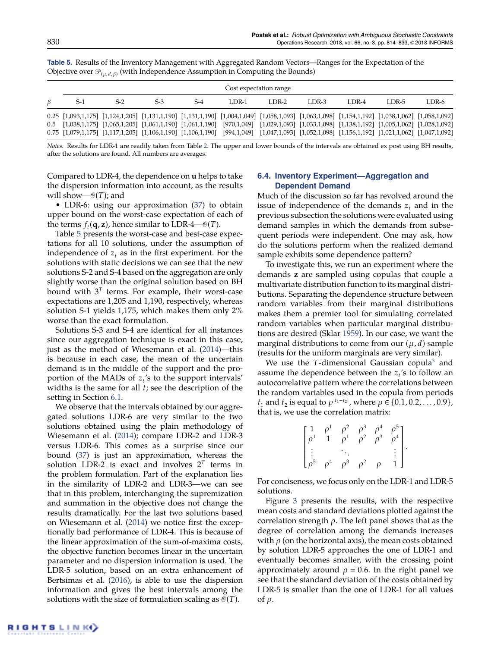|   | Cost expectation range                                                                                                                                            |       |       |       |       |       |       |       |       |       |
|---|-------------------------------------------------------------------------------------------------------------------------------------------------------------------|-------|-------|-------|-------|-------|-------|-------|-------|-------|
|   |                                                                                                                                                                   |       |       |       |       |       |       |       |       |       |
| В | $S-1$                                                                                                                                                             | $S-2$ | $S-3$ | $S-4$ | LDR-1 | LDR-2 | LDR-3 | LDR-4 | LDR-5 | LDR-6 |
|   | 0.25 [1,093,1,175] [1,124,1,205] [1,131,1,190] [1,131,1,190] [1,004,1,049] [1,058,1,093] [1,063,1,098] [1,154,1,192] [1,038,1,062] [1,058,1,092]                  |       |       |       |       |       |       |       |       |       |
|   | 0.5 $[1,038,1,175]$ $[1,065,1,205]$ $[1,061,1,190]$ $[1,061,1,190]$ $[970,1,049]$ $[1,029,1,093]$ $[1,033,1,098]$ $[1,138,1,192]$ $[1,005,1,062]$ $[1,028,1,092]$ |       |       |       |       |       |       |       |       |       |
|   | $0.75$ [1,079,1,175] [1,117,1,205] [1,106,1,190] [1,106,1,190] [994,1,049] [1,047,1,093] [1,052,1,098] [1,156,1,192] [1,021,1,062] [1,047,1,092]                  |       |       |       |       |       |       |       |       |       |

<span id="page-17-0"></span>**Table 5.** Results of the Inventory Management with Aggregated Random Vectors—Ranges for the Expectation of the Objective over  $\mathscr{P}_{(\mu, d, \beta)}$  (with Independence Assumption in Computing the Bounds)

*Notes.* Results for LDR-1 are readily taken from Table [2.](#page-14-1) The upper and lower bounds of the intervals are obtained ex post using BH results, after the solutions are found. All numbers are averages.

Compared to LDR-4, the dependence on **u** helps to take the dispersion information into account, as the results will show— $\mathcal{O}(T)$ ; and

• LDR-6: using our approximation [\(37\)](#page-10-3) to obtain upper bound on the worst-case expectation of each of the terms  $f_t(\mathbf{q}, \mathbf{z})$ , hence similar to LDR-4— $\mathcal{O}(T)$ .

Table [5](#page-17-0) presents the worst-case and best-case expectations for all 10 solutions, under the assumption of independence of  $z_t$  as in the first experiment. For the solutions with static decisions we can see that the new solutions S-2 and S-4 based on the aggregation are only slightly worse than the original solution based on BH bound with  $3<sup>T</sup>$  terms. For example, their worst-case expectations are 1,205 and 1,190, respectively, whereas solution S-1 yields 1,175, which makes them only 2% worse than the exact formulation.

Solutions S-3 and S-4 are identical for all instances since our aggregation technique is exact in this case, just as the method of Wiesemann et al. [\(2014\)](#page-20-24)—this is because in each case, the mean of the uncertain demand is in the middle of the support and the proportion of the MADs of *z<sup>t</sup>* 's to the support intervals' widths is the same for all *t*; see the description of the setting in Section [6.1.](#page-13-1)

We observe that the intervals obtained by our aggregated solutions LDR-6 are very similar to the two solutions obtained using the plain methodology of Wiesemann et al. [\(2014\)](#page-20-24); compare LDR-2 and LDR-3 versus LDR-6. This comes as a surprise since our bound [\(37\)](#page-10-3) is just an approximation, whereas the solution LDR-2 is exact and involves  $2^T$  terms in the problem formulation. Part of the explanation lies in the similarity of LDR-2 and LDR-3—we can see that in this problem, interchanging the supremization and summation in the objective does not change the results dramatically. For the last two solutions based on Wiesemann et al. [\(2014\)](#page-20-24) we notice first the exceptionally bad performance of LDR-4. This is because of the linear approximation of the sum-of-maxima costs, the objective function becomes linear in the uncertain parameter and no dispersion information is used. The LDR-5 solution, based on an extra enhancement of Bertsimas et al. [\(2016\)](#page-19-19), is able to use the dispersion information and gives the best intervals among the solutions with the size of formulation scaling as  $\mathcal{O}(T)$ .

### **6.4. Inventory Experiment—Aggregation and Dependent Demand**

Much of the discussion so far has revolved around the issue of independence of the demands  $z_t$  and in the previous subsection the solutions were evaluated using demand samples in which the demands from subsequent periods were independent. One may ask, how do the solutions perform when the realized demand sample exhibits some dependence pattern?

To investigate this, we run an experiment where the demands **z** are sampled using copulas that couple a multivariate distribution function to its marginal distributions. Separating the dependence structure between random variables from their marginal distributions makes them a premier tool for simulating correlated random variables when particular marginal distributions are desired (Sklar [1959\)](#page-20-40). In our case, we want the marginal distributions to come from our  $(\mu, d)$  sample (results for the uniform marginals are very similar).

We use the *T*-dimensional Gaussian copula<sup>[3](#page-19-20)</sup> and assume the dependence between the *z<sup>t</sup>* 's to follow an autocorrelative pattern where the correlations between the random variables used in the copula from periods *t*<sub>1</sub> and *t*<sub>2</sub> is equal to  $\rho$ <sup>|*t*<sub>1</sub>−*t*<sub>2</sub></sub>|</sup>, where  $\rho$  ∈ {0.1, 0.2, . . . . , 0.9}, that is, we use the correlation matrix:

<span id="page-17-1"></span>

| $\frac{1}{\rho^1}$                              | $\rho_1^1$ |          | $\rho^2$ $\rho^3$<br>$\rho^1$ $\rho^2$ |        | $\begin{bmatrix} \rho^4 & \rho^5 \\ \rho^3 & \rho^4 \end{bmatrix}$ |  |
|-------------------------------------------------|------------|----------|----------------------------------------|--------|--------------------------------------------------------------------|--|
| $\begin{array}{c} \vdots \\ \rho^5 \end{array}$ | $\rho^4$   | $\rho^3$ | $\rho^2$                               | $\rho$ | $\begin{matrix} \vdots \\ 1 \end{matrix}$                          |  |

For conciseness, we focus only on the LDR-1 and LDR-5 solutions.

Figure [3](#page-18-1) presents the results, with the respective mean costs and standard deviations plotted against the correlation strength  $\rho$ . The left panel shows that as the degree of correlation among the demands increases with  $\rho$  (on the horizontal axis), the mean costs obtained by solution LDR-5 approaches the one of LDR-1 and eventually becomes smaller, with the crossing point approximately around  $\rho = 0.6$ . In the right panel we see that the standard deviation of the costs obtained by LDR-5 is smaller than the one of LDR-1 for all values of ρ.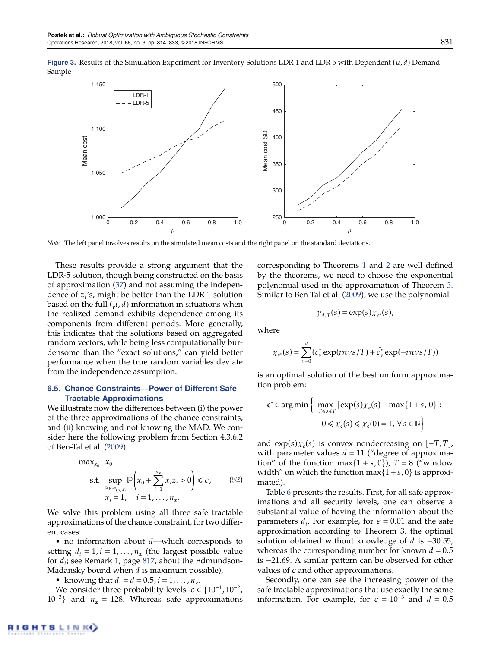<span id="page-18-1"></span>

*Note.* The left panel involves results on the simulated mean costs and the right panel on the standard deviations.

These results provide a strong argument that the LDR-5 solution, though being constructed on the basis of approximation [\(37\)](#page-10-3) and not assuming the independence of *z<sup>t</sup>* 's, might be better than the LDR-1 solution based on the full  $(\mu, d)$  information in situations when the realized demand exhibits dependence among its components from different periods. More generally, this indicates that the solutions based on aggregated random vectors, while being less computationally burdensome than the "exact solutions," can yield better performance when the true random variables deviate from the independence assumption.

#### <span id="page-18-0"></span>**6.5. Chance Constraints—Power of Different Safe Tractable Approximations**

We illustrate now the differences between (i) the power of the three approximations of the chance constraints, and (ii) knowing and not knowing the MAD. We consider here the following problem from Section 4.3.6.2 of Ben-Tal et al. [\(2009\)](#page-19-1):

<span id="page-18-2"></span>
$$
\max_{x_0} x_0
$$
\n
$$
\text{s.t. } \sup_{\mathbb{P} \in \mathcal{P}_{(\mu,d)}} \mathbb{P}\left(x_0 + \sum_{i=1}^{n_z} x_i z_i > 0\right) \leq \epsilon, \quad (52)
$$
\n
$$
x_i = 1, \quad i = 1, \dots, n_z.
$$

We solve this problem using all three safe tractable approximations of the chance constraint, for two different cases:

• no information about *d*—which corresponds to setting  $d_i = 1, i = 1, \dots, n_z$  (the largest possible value for *d<sup>i</sup>* ; see Remark [1,](#page-4-5) page [817,](#page-4-5) about the Edmundson-Madansky bound when *d* is maximum possible),

• knowing that  $d_i = d = 0.5, i = 1, ..., n_z$ .

We consider three probability levels:  $\epsilon \in \{10^{-1}, 10^{-2},$  $10^{-3}$ } and  $n_z = 128$ . Whereas safe approximations corresponding to Theorems [1](#page-12-3) and [2](#page-12-5) are well defined by the theorems, we need to choose the exponential polynomial used in the approximation of Theorem [3.](#page-13-3) Similar to Ben-Tal et al. [\(2009\)](#page-19-1), we use the polynomial

$$
\gamma_{d,T}(s) = \exp(s) \chi_{c^*}(s),
$$

where

$$
\chi_{c^*}(s) = \sum_{\nu=0}^d (c_{\nu}^* \exp(i\pi \nu s/T) + \bar{c}_{\nu}^* \exp(-i\pi \nu s/T))
$$

is an optimal solution of the best uniform approximation problem:

$$
\mathbf{c}^* \in \arg\min \left\{ \max_{-T \le s \le T} |\exp(s)\chi_{\mathbf{c}}(s) - \max\{1+s, 0\}|: 0 \le \chi_{\mathbf{c}}(s) \le \chi_{\mathbf{c}}(0) = 1, \forall s \in \mathbb{R} \right\}
$$

and  $exp(s) \chi_c(s)$  is convex nondecreasing on  $[-T, T]$ , with parameter values  $d = 11$  ("degree of approximation" of the function max $\{1 + s, 0\}$ ),  $T = 8$  ("window" width" on which the function max $\{1 + s, 0\}$  is approximated).

Table [6](#page-19-21) presents the results. First, for all safe approximations and all security levels, one can observe a substantial value of having the information about the parameters  $d_i$ . For example, for  $\epsilon = 0.01$  and the safe approximation according to Theorem 3, the optimal solution obtained without knowledge of *d* is −30.55, whereas the corresponding number for known  $d = 0.5$ is −21.69. A similar pattern can be observed for other values of  $\epsilon$  and other approximations.

Secondly, one can see the increasing power of the safe tractable approximations that use exactly the same information. For example, for  $\epsilon = 10^{-3}$  and  $d = 0.5$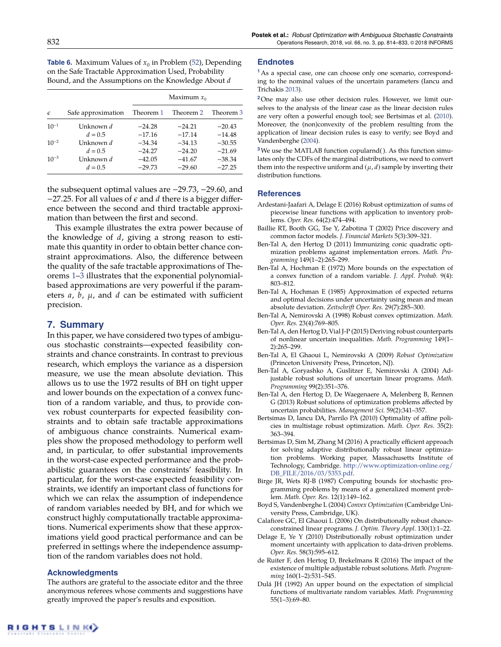<span id="page-19-21"></span>**Table 6.** Maximum Values of  $x_0$  in Problem [\(52\)](#page-18-2), Depending on the Safe Tractable Approximation Used, Probability Bound, and the Assumptions on the Knowledge About *d*

|            |                               | Maximum $x_0$        |                      |                      |  |
|------------|-------------------------------|----------------------|----------------------|----------------------|--|
| $\epsilon$ | Safe approximation            | Theorem 1            | Theorem 2            | Theorem 3            |  |
| $10^{-1}$  | Unknown d                     | $-24.28$             | $-24.21$             | $-20.43$             |  |
| $10^{-2}$  | $d = 0.5$<br>Unknown d        | $-17.16$<br>$-34.34$ | $-17.14$<br>$-34.13$ | $-14.48$<br>$-30.55$ |  |
| $10^{-3}$  | $d = 0.5$<br>Unknown <i>d</i> | $-24.27$<br>$-42.05$ | $-24.20$<br>$-41.67$ | $-21.69$<br>$-38.34$ |  |
|            | $d = 0.5$                     | $-29.73$             | $-29.60$             | $-27.25$             |  |

the subsequent optimal values are −29.73, −29.60, and  $-27.25$ . For all values of  $\epsilon$  and  $d$  there is a bigger difference between the second and third tractable approximation than between the first and second.

This example illustrates the extra power because of the knowledge of *d*, giving a strong reason to estimate this quantity in order to obtain better chance constraint approximations. Also, the difference between the quality of the safe tractable approximations of Theorems [1–](#page-12-3)[3](#page-13-3) illustrates that the exponential polynomialbased approximations are very powerful if the parameters *a*, *b*, µ, and *d* can be estimated with sufficient precision.

# <span id="page-19-10"></span>**7. Summary**

In this paper, we have considered two types of ambiguous stochastic constraints—expected feasibility constraints and chance constraints. In contrast to previous research, which employs the variance as a dispersion measure, we use the mean absolute deviation. This allows us to use the 1972 results of BH on tight upper and lower bounds on the expectation of a convex function of a random variable, and thus, to provide convex robust counterparts for expected feasibility constraints and to obtain safe tractable approximations of ambiguous chance constraints. Numerical examples show the proposed methodology to perform well and, in particular, to offer substantial improvements in the worst-case expected performance and the probabilistic guarantees on the constraints' feasibility. In particular, for the worst-case expected feasibility constraints, we identify an important class of functions for which we can relax the assumption of independence of random variables needed by BH, and for which we construct highly computationally tractable approximations. Numerical experiments show that these approximations yield good practical performance and can be preferred in settings where the independence assumption of the random variables does not hold.

### **Acknowledgments**

The authors are grateful to the associate editor and the three anonymous referees whose comments and suggestions have greatly improved the paper's results and exposition.

#### **Endnotes**

<span id="page-19-13"></span>**[1](#page-7-2)**As a special case, one can choose only one scenario, corresponding to the nominal values of the uncertain parameters (Iancu and Trichakis [2013\)](#page-20-36).

<span id="page-19-16"></span>**[2](#page-8-6)**One may also use other decision rules. However, we limit ourselves to the analysis of the linear case as the linear decision rules are very often a powerful enough tool; see Bertsimas et al. [\(2010\)](#page-19-22). Moreover, the (non)convexity of the problem resulting from the application of linear decision rules is easy to verify; see Boyd and Vandenberghe [\(2004\)](#page-19-17).

<span id="page-19-20"></span>**[3](#page-17-1)**We use the MATLAB function copularnd( ). As this function simulates only the CDFs of the marginal distributions, we need to convert them into the respective uniform and  $(\mu, d)$  sample by inverting their distribution functions.

#### **References**

- <span id="page-19-18"></span>Ardestani-Jaafari A, Delage E (2016) Robust optimization of sums of piecewise linear functions with application to inventory problems. *Oper. Res.* 64(2):474–494.
- <span id="page-19-11"></span>Baillie RT, Booth GG, Tse Y, Zabotina T (2002) Price discovery and common factor models. *J. Financial Markets* 5(3):309–321.
- <span id="page-19-14"></span>Ben-Tal A, den Hertog D (2011) Immunizing conic quadratic optimization problems against implementation errors. *Math. Programming* 149(1–2):265–299.
- <span id="page-19-5"></span>Ben-Tal A, Hochman E (1972) More bounds on the expectation of a convex function of a random variable. *J. Appl. Probab.* 9(4): 803–812.
- <span id="page-19-6"></span>Ben-Tal A, Hochman E (1985) Approximation of expected returns and optimal decisions under uncertainty using mean and mean absolute deviation. *Zeitschrift Oper. Res.* 29(7):285–300.
- <span id="page-19-0"></span>Ben-Tal A, Nemirovski A (1998) Robust convex optimization. *Math. Oper. Res.* 23(4):769–805.
- <span id="page-19-2"></span>Ben-Tal A, den Hertog D, Vial J-P (2015) Deriving robust counterparts of nonlinear uncertain inequalities. *Math. Programming* 149(1– 2):265–299.
- <span id="page-19-1"></span>Ben-Tal A, El Ghaoui L, Nemirovski A (2009) *Robust Optimization* (Princeton University Press, Princeton, NJ).
- <span id="page-19-15"></span>Ben-Tal A, Goryashko A, Guslitzer E, Nemirovski A (2004) Adjustable robust solutions of uncertain linear programs. *Math. Programming* 99(2):351–376.
- <span id="page-19-7"></span>Ben-Tal A, den Hertog D, De Waegenaere A, Melenberg B, Rennen G (2013) Robust solutions of optimization problems affected by uncertain probabilities. *Management Sci.* 59(2):341–357.
- <span id="page-19-22"></span>Bertsimas D, Iancu DA, Parrilo PA (2010) Optimality of affine policies in multistage robust optimization. *Math. Oper. Res.* 35(2): 363–394.
- <span id="page-19-19"></span>Bertsimas D, Sim M, Zhang M (2016) A practically efficient approach for solving adaptive distributionally robust linear optimization problems. Working paper, Massachusetts Institute of Technology, Cambridge. [http://www.optimization-online.org/](http://www.optimization-online.org/DB_FILE/2016/03/5353.pdf) [DB\\_FILE/2016/03/5353.pdf.](http://www.optimization-online.org/DB_FILE/2016/03/5353.pdf)
- <span id="page-19-3"></span>Birge JR, Wets RJ-B (1987) Computing bounds for stochastic programming problems by means of a generalized moment problem. *Math. Oper. Res.* 12(1):149–162.
- <span id="page-19-17"></span>Boyd S, Vandenberghe L (2004) *Convex Optimization* (Cambridge University Press, Cambridge, UK).
- <span id="page-19-8"></span>Calafiore GC, El Ghaoui L (2006) On distributionally robust chanceconstrained linear programs. *J. Optim. Theory Appl.* 130(1):1–22.
- <span id="page-19-9"></span>Delage E, Ye Y (2010) Distributionally robust optimization under moment uncertainty with application to data-driven problems. *Oper. Res.* 58(3):595–612.
- <span id="page-19-12"></span>de Ruiter F, den Hertog D, Brekelmans R (2016) The impact of the existence of multiple adjustable robust solutions. *Math. Programming* 160(1–2):531–545.
- <span id="page-19-4"></span>Dulá JH (1992) An upper bound on the expectation of simplicial functions of multivariate random variables. *Math. Programming* 55(1–3):69–80.